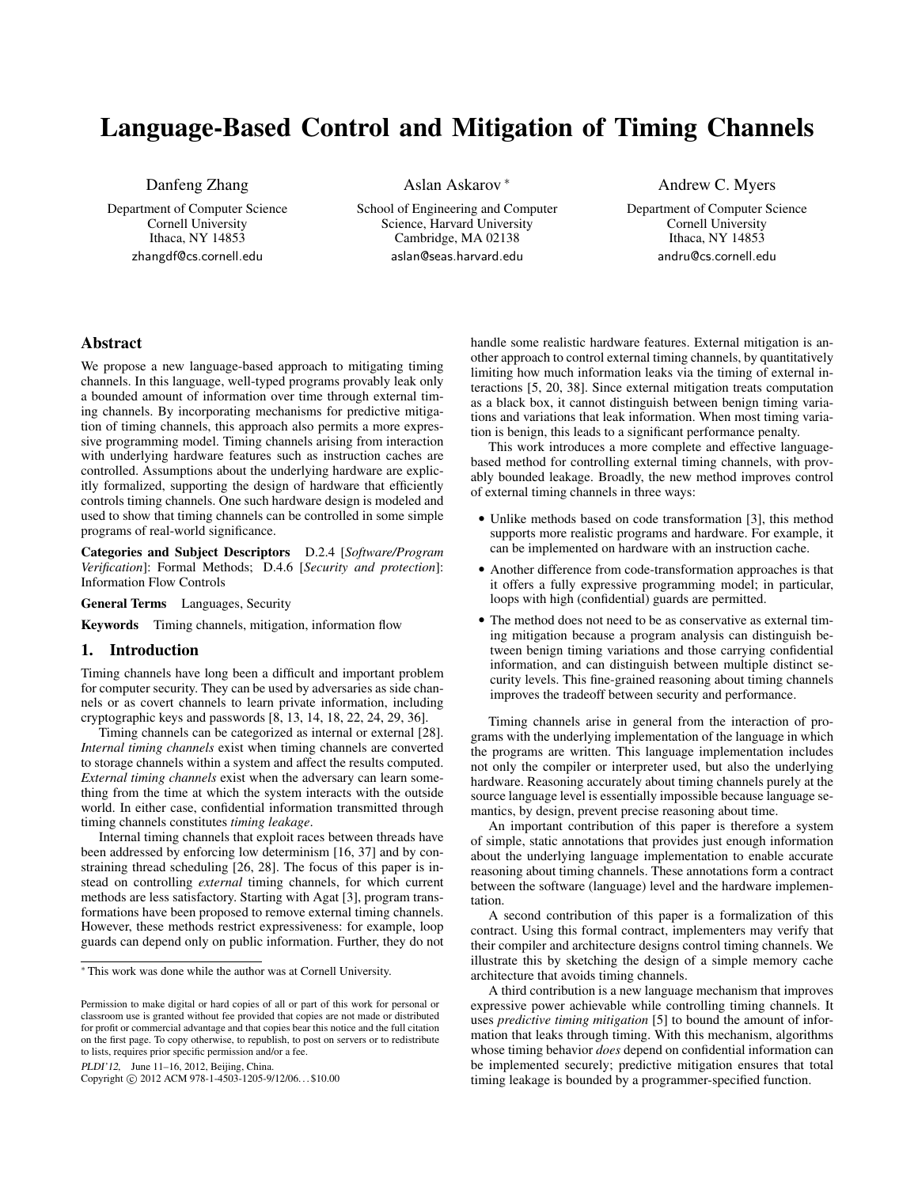# Language-Based Control and Mitigation of Timing Channels

Danfeng Zhang

Department of Computer Science Cornell University Ithaca, NY 14853 zhangdf@cs.cornell.edu

Aslan Askarov <sup>∗</sup>

School of Engineering and Computer Science, Harvard University Cambridge, MA 02138 aslan@seas.harvard.edu

Andrew C. Myers

Department of Computer Science Cornell University Ithaca, NY 14853 andru@cs.cornell.edu

# Abstract

We propose a new language-based approach to mitigating timing channels. In this language, well-typed programs provably leak only a bounded amount of information over time through external timing channels. By incorporating mechanisms for predictive mitigation of timing channels, this approach also permits a more expressive programming model. Timing channels arising from interaction with underlying hardware features such as instruction caches are controlled. Assumptions about the underlying hardware are explicitly formalized, supporting the design of hardware that efficiently controls timing channels. One such hardware design is modeled and used to show that timing channels can be controlled in some simple programs of real-world significance.

Categories and Subject Descriptors D.2.4 [*Software/Program Verification*]: Formal Methods; D.4.6 [*Security and protection*]: Information Flow Controls

General Terms Languages, Security

Keywords Timing channels, mitigation, information flow

# 1. Introduction

Timing channels have long been a difficult and important problem for computer security. They can be used by adversaries as side channels or as covert channels to learn private information, including cryptographic keys and passwords [\[8,](#page-10-0) [13,](#page-10-1) [14,](#page-10-2) [18,](#page-10-3) [22,](#page-10-4) [24,](#page-10-5) [29,](#page-10-6) [36\]](#page-10-7).

Timing channels can be categorized as internal or external [\[28\]](#page-10-8). *Internal timing channels* exist when timing channels are converted to storage channels within a system and affect the results computed. *External timing channels* exist when the adversary can learn something from the time at which the system interacts with the outside world. In either case, confidential information transmitted through timing channels constitutes *timing leakage*.

Internal timing channels that exploit races between threads have been addressed by enforcing low determinism [\[16,](#page-10-9) [37\]](#page-10-10) and by constraining thread scheduling [\[26,](#page-10-11) [28\]](#page-10-8). The focus of this paper is instead on controlling *external* timing channels, for which current methods are less satisfactory. Starting with Agat [\[3\]](#page-10-12), program transformations have been proposed to remove external timing channels. However, these methods restrict expressiveness: for example, loop guards can depend only on public information. Further, they do not

PLDI'12, June 11–16, 2012, Beijing, China.

Copyright © 2012 ACM 978-1-4503-1205-9/12/06... \$10.00

handle some realistic hardware features. External mitigation is another approach to control external timing channels, by quantitatively limiting how much information leaks via the timing of external interactions [\[5,](#page-10-13) [20,](#page-10-14) [38\]](#page-10-15). Since external mitigation treats computation as a black box, it cannot distinguish between benign timing variations and variations that leak information. When most timing variation is benign, this leads to a significant performance penalty.

This work introduces a more complete and effective languagebased method for controlling external timing channels, with provably bounded leakage. Broadly, the new method improves control of external timing channels in three ways:

- Unlike methods based on code transformation [\[3\]](#page-10-12), this method supports more realistic programs and hardware. For example, it can be implemented on hardware with an instruction cache.
- Another difference from code-transformation approaches is that it offers a fully expressive programming model; in particular, loops with high (confidential) guards are permitted.
- The method does not need to be as conservative as external timing mitigation because a program analysis can distinguish between benign timing variations and those carrying confidential information, and can distinguish between multiple distinct security levels. This fine-grained reasoning about timing channels improves the tradeoff between security and performance.

Timing channels arise in general from the interaction of programs with the underlying implementation of the language in which the programs are written. This language implementation includes not only the compiler or interpreter used, but also the underlying hardware. Reasoning accurately about timing channels purely at the source language level is essentially impossible because language semantics, by design, prevent precise reasoning about time.

An important contribution of this paper is therefore a system of simple, static annotations that provides just enough information about the underlying language implementation to enable accurate reasoning about timing channels. These annotations form a contract between the software (language) level and the hardware implementation.

A second contribution of this paper is a formalization of this contract. Using this formal contract, implementers may verify that their compiler and architecture designs control timing channels. We illustrate this by sketching the design of a simple memory cache architecture that avoids timing channels.

A third contribution is a new language mechanism that improves expressive power achievable while controlling timing channels. It uses *predictive timing mitigation* [\[5\]](#page-10-13) to bound the amount of information that leaks through timing. With this mechanism, algorithms whose timing behavior *does* depend on confidential information can be implemented securely; predictive mitigation ensures that total timing leakage is bounded by a programmer-specified function.

<sup>∗</sup> This work was done while the author was at Cornell University.

Permission to make digital or hard copies of all or part of this work for personal or classroom use is granted without fee provided that copies are not made or distributed for profit or commercial advantage and that copies bear this notice and the full citation on the first page. To copy otherwise, to republish, to post on servers or to redistribute to lists, requires prior specific permission and/or a fee.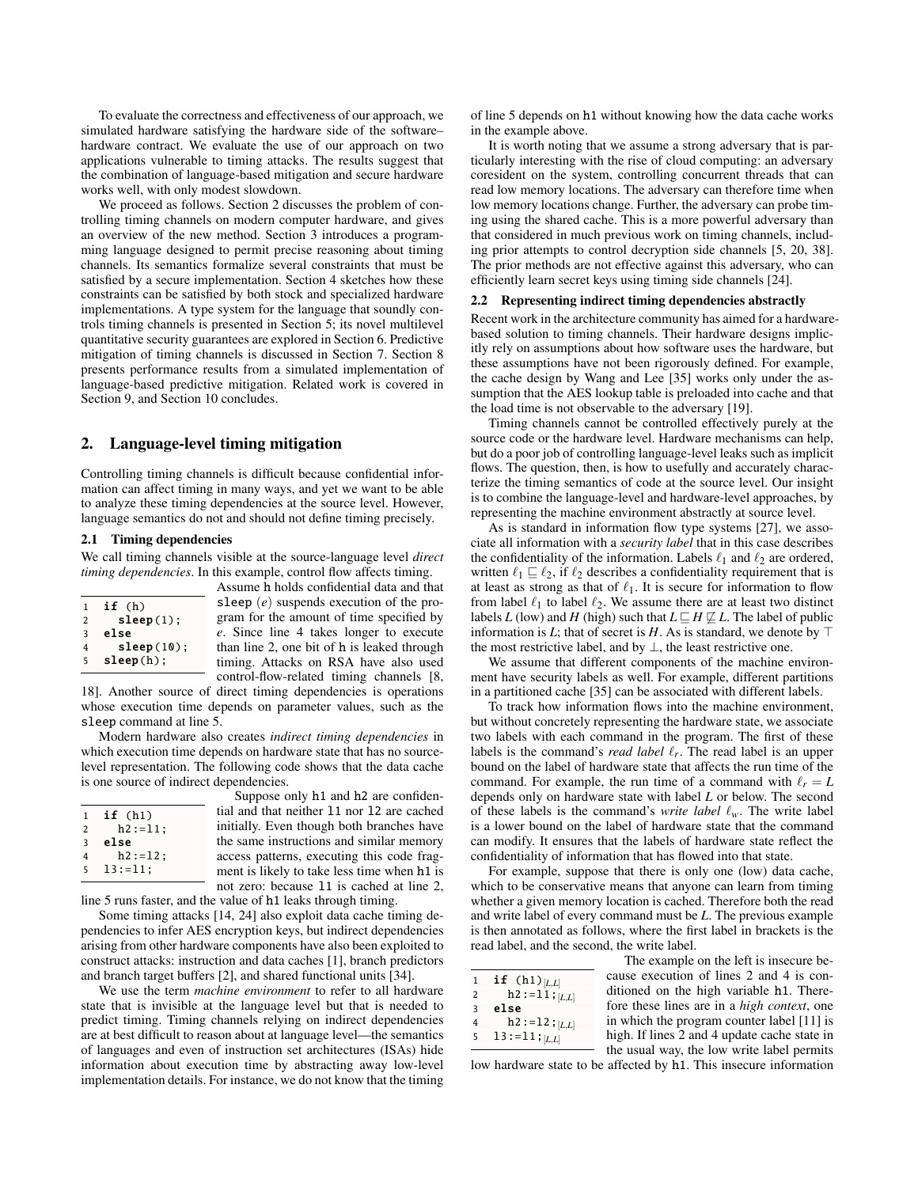To evaluate the correctness and effectiveness of our approach, we simulated hardware satisfying the hardware side of the software– hardware contract. We evaluate the use of our approach on two applications vulnerable to timing attacks. The results suggest that the combination of language-based mitigation and secure hardware works well, with only modest slowdown.

We proceed as follows. Section [2](#page-1-0) discusses the problem of controlling timing channels on modern computer hardware, and gives an overview of the new method. Section [3](#page-2-0) introduces a programming language designed to permit precise reasoning about timing channels. Its semantics formalize several constraints that must be satisfied by a secure implementation. Section [4](#page-4-0) sketches how these constraints can be satisfied by both stock and specialized hardware implementations. A type system for the language that soundly controls timing channels is presented in Section [5;](#page-5-0) its novel multilevel quantitative security guarantees are explored in Section [6.](#page-6-0) Predictive mitigation of timing channels is discussed in Section [7.](#page-7-0) Section [8](#page-8-0) presents performance results from a simulated implementation of language-based predictive mitigation. Related work is covered in Section [9,](#page-9-0) and Section [10](#page-10-16) concludes.

# <span id="page-1-0"></span>2. Language-level timing mitigation

Controlling timing channels is difficult because confidential information can affect timing in many ways, and yet we want to be able to analyze these timing dependencies at the source level. However, language semantics do not and should not define timing precisely.

#### 2.1 Timing dependencies

We call timing channels visible at the source-language level *direct timing dependencies*. In this example, control flow affects timing.

| if (h)     |
|------------|
| sleep(1);  |
| else       |
| sleep(10); |
| sleep(h);  |
|            |

Assume h holds confidential data and that sleep (*e*) suspends execution of the program for the amount of time specified by *e*. Since line 4 takes longer to execute than line 2, one bit of h is leaked through timing. Attacks on RSA have also used control-flow-related timing channels [\[8,](#page-10-0)

[18\]](#page-10-3). Another source of direct timing dependencies is operations whose execution time depends on parameter values, such as the sleep command at line 5.

Modern hardware also creates *indirect timing dependencies* in which execution time depends on hardware state that has no sourcelevel representation. The following code shows that the data cache is one source of indirect dependencies.

| $\mathbf{1}$            | if(h1)       |  |
|-------------------------|--------------|--|
| 2                       | $h2 := 11$ : |  |
| $\overline{\mathbf{3}}$ | else         |  |
| 4                       | $h2 := 12$ ; |  |
| 5                       | $13 := 11:$  |  |
|                         |              |  |

Suppose only h1 and h2 are confidential and that neither l1 nor l2 are cached initially. Even though both branches have the same instructions and similar memory access patterns, executing this code fragment is likely to take less time when h1 is not zero: because l1 is cached at line 2,

line 5 runs faster, and the value of h1 leaks through timing.

Some timing attacks [\[14,](#page-10-2) [24\]](#page-10-5) also exploit data cache timing dependencies to infer AES encryption keys, but indirect dependencies arising from other hardware components have also been exploited to construct attacks: instruction and data caches [\[1\]](#page-10-17), branch predictors and branch target buffers [\[2\]](#page-10-18), and shared functional units [\[34\]](#page-10-19).

We use the term *machine environment* to refer to all hardware state that is invisible at the language level but that is needed to predict timing. Timing channels relying on indirect dependencies are at best difficult to reason about at language level—the semantics of languages and even of instruction set architectures (ISAs) hide information about execution time by abstracting away low-level implementation details. For instance, we do not know that the timing of line 5 depends on h1 without knowing how the data cache works in the example above.

It is worth noting that we assume a strong adversary that is particularly interesting with the rise of cloud computing: an adversary coresident on the system, controlling concurrent threads that can read low memory locations. The adversary can therefore time when low memory locations change. Further, the adversary can probe timing using the shared cache. This is a more powerful adversary than that considered in much previous work on timing channels, including prior attempts to control decryption side channels [\[5,](#page-10-13) [20,](#page-10-14) [38\]](#page-10-15). The prior methods are not effective against this adversary, who can efficiently learn secret keys using timing side channels [\[24\]](#page-10-5).

# 2.2 Representing indirect timing dependencies abstractly

Recent work in the architecture community has aimed for a hardwarebased solution to timing channels. Their hardware designs implicitly rely on assumptions about how software uses the hardware, but these assumptions have not been rigorously defined. For example, the cache design by Wang and Lee [\[35\]](#page-10-20) works only under the assumption that the AES lookup table is preloaded into cache and that the load time is not observable to the adversary [\[19\]](#page-10-21).

Timing channels cannot be controlled effectively purely at the source code or the hardware level. Hardware mechanisms can help, but do a poor job of controlling language-level leaks such as implicit flows. The question, then, is how to usefully and accurately characterize the timing semantics of code at the source level. Our insight is to combine the language-level and hardware-level approaches, by representing the machine environment abstractly at source level.

As is standard in information flow type systems [\[27\]](#page-10-22), we associate all information with a *security label* that in this case describes the confidentiality of the information. Labels  $\ell_1$  and  $\ell_2$  are ordered, written  $\ell_1 \sqsubseteq \ell_2$ , if  $\ell_2$  describes a confidentiality requirement that is at least as strong as that of  $\ell_1$ . It is secure for information to flow from label  $\ell_1$  to label  $\ell_2$ . We assume there are at least two distinct labels *L* (low) and *H* (high) such that  $L \sqsubseteq H \not\sqsubseteq L$ . The label of public information is *L*; that of secret is *H*. As is standard, we denote by  $\top$ the most restrictive label, and by  $\perp$ , the least restrictive one.

We assume that different components of the machine environment have security labels as well. For example, different partitions in a partitioned cache [\[35\]](#page-10-20) can be associated with different labels.

To track how information flows into the machine environment, but without concretely representing the hardware state, we associate two labels with each command in the program. The first of these labels is the command's *read label*  $\ell_r$ . The read label is an upper bound on the label of hardware state that affects the run time of the command. For example, the run time of a command with  $\ell_r = L$ depends only on hardware state with label *L* or below. The second of these labels is the command's *write label*  $\ell_w$ . The write label is a lower bound on the label of hardware state that the command can modify. It ensures that the labels of hardware state reflect the confidentiality of information that has flowed into that state.

For example, suppose that there is only one (low) data cache, which to be conservative means that anyone can learn from timing whether a given memory location is cached. Therefore both the read and write label of every command must be *L*. The previous example is then annotated as follows, where the first label in brackets is the read label, and the second, the write label.

| 1 | if $(h1)_{[L,L]}$      |
|---|------------------------|
| 2 | $h2 := 11;$ $L,L$      |
| 3 | else                   |
| 4 | $h2 := 12$ ; $[L,L]$   |
| 5 | 13 : = 11 ; [ $L, L$ ] |

The example on the left is insecure because execution of lines 2 and 4 is conditioned on the high variable h1. Therefore these lines are in a *high context*, one in which the program counter label [\[11\]](#page-10-23) is high. If lines 2 and 4 update cache state in the usual way, the low write label permits

low hardware state to be affected by h1. This insecure information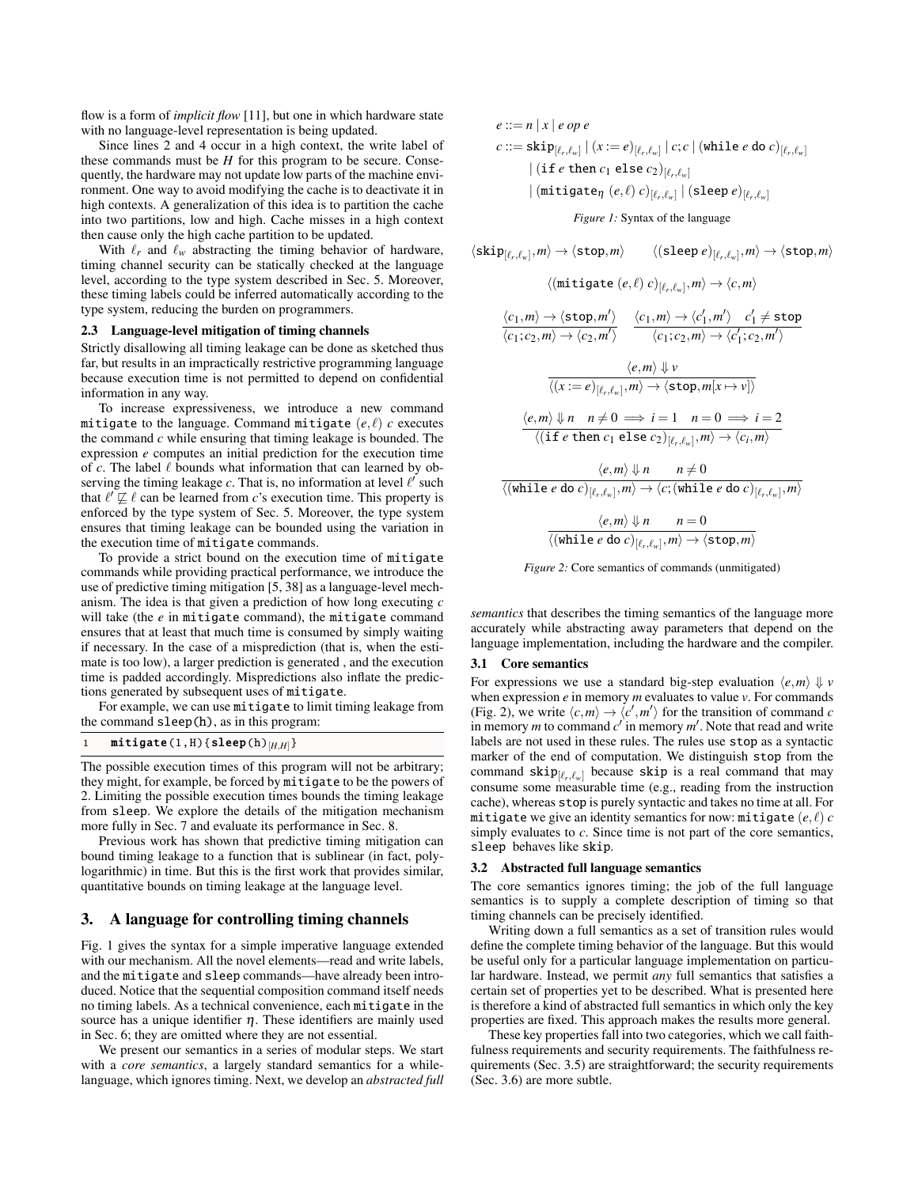flow is a form of *implicit flow* [\[11\]](#page-10-23), but one in which hardware state with no language-level representation is being updated.

Since lines 2 and 4 occur in a high context, the write label of these commands must be *H* for this program to be secure. Consequently, the hardware may not update low parts of the machine environment. One way to avoid modifying the cache is to deactivate it in high contexts. A generalization of this idea is to partition the cache into two partitions, low and high. Cache misses in a high context then cause only the high cache partition to be updated.

With  $\ell_r$  and  $\ell_w$  abstracting the timing behavior of hardware, timing channel security can be statically checked at the language level, according to the type system described in Sec. [5.](#page-5-0) Moreover, these timing labels could be inferred automatically according to the type system, reducing the burden on programmers.

#### 2.3 Language-level mitigation of timing channels

Strictly disallowing all timing leakage can be done as sketched thus far, but results in an impractically restrictive programming language because execution time is not permitted to depend on confidential information in any way.

To increase expressiveness, we introduce a new command mitigate to the language. Command mitigate  $(e, \ell)$  *c* executes the command *c* while ensuring that timing leakage is bounded. The expression *e* computes an initial prediction for the execution time of  $c$ . The label  $\ell$  bounds what information that can learned by observing the timing leakage  $c$ . That is, no information at level  $\ell'$  such that  $\ell' \not\sqsubseteq \ell$  can be learned from *c*'s execution time. This property is enforced by the type system of Sec. [5.](#page-5-0) Moreover, the type system ensures that timing leakage can be bounded using the variation in the execution time of mitigate commands.

To provide a strict bound on the execution time of mitigate commands while providing practical performance, we introduce the use of predictive timing mitigation [\[5,](#page-10-13) [38\]](#page-10-15) as a language-level mechanism. The idea is that given a prediction of how long executing *c* will take (the *e* in mitigate command), the mitigate command ensures that at least that much time is consumed by simply waiting if necessary. In the case of a misprediction (that is, when the estimate is too low), a larger prediction is generated , and the execution time is padded accordingly. Mispredictions also inflate the predictions generated by subsequent uses of mitigate.

For example, we can use mitigate to limit timing leakage from the command sleep(h), as in this program:

# $\texttt{mitigate}(1, H)$ {sleep(h)<sub>[*H,H*]</sub>}

The possible execution times of this program will not be arbitrary; they might, for example, be forced by mitigate to be the powers of 2. Limiting the possible execution times bounds the timing leakage from sleep. We explore the details of the mitigation mechanism more fully in Sec. [7](#page-7-0) and evaluate its performance in Sec. [8.](#page-8-0)

Previous work has shown that predictive timing mitigation can bound timing leakage to a function that is sublinear (in fact, polylogarithmic) in time. But this is the first work that provides similar, quantitative bounds on timing leakage at the language level.

## <span id="page-2-0"></span>3. A language for controlling timing channels

Fig. [1](#page-2-1) gives the syntax for a simple imperative language extended with our mechanism. All the novel elements—read and write labels, and the mitigate and sleep commands—have already been introduced. Notice that the sequential composition command itself needs no timing labels. As a technical convenience, each mitigate in the source has a unique identifier  $\eta$ . These identifiers are mainly used in Sec. [6;](#page-6-0) they are omitted where they are not essential.

We present our semantics in a series of modular steps. We start with a *core semantics*, a largely standard semantics for a whilelanguage, which ignores timing. Next, we develop an *abstracted full* <span id="page-2-1"></span> $e ::= n | x | e$  *op e*  $c ::= \textsf{skip}[{\ell_r},{\ell_w}] \mid (x := e)_{[\ell_r,{\ell_w}]}\mid c; c \mid (\textsf{while }e \textsf{ do }c)_{[\ell_r,{\ell_w}]}$  $|\left(\texttt{if } e \texttt{ then } c_1 \texttt{ else } c_2\right)_{[\ell_r,\ell_w]}$  $|\left(\texttt{mitigate}_{\boldsymbol{\eta}}\left(e, \ell\right) c\right)_{[\ell_r, \ell_w]}|\left(\texttt{sleep}\ e\right)_{[\ell_r, \ell_w]}$ 

*Figure 1:* Syntax of the language

$$
\langle \text{skip}_{[\ell_r,\ell_w]},m\rangle \rightarrow \langle \text{stop},m\rangle \qquad \langle (\text{sleep } e)_{[\ell_r,\ell_w]},m\rangle \rightarrow \langle \text{stop},m\rangle
$$
\n
$$
\langle (\text{mitigate } (e,\ell) c)_{[\ell_r,\ell_w]},m\rangle \rightarrow \langle c,m\rangle
$$
\n
$$
\frac{\langle c_1,m\rangle \rightarrow \langle \text{stop},m'\rangle}{\langle c_1;c_2,m\rangle \rightarrow \langle c_2,m'\rangle} \qquad \frac{\langle c_1,m\rangle \rightarrow \langle c'_1,m'\rangle \quad c'_1 \neq \text{stop}}{\langle c_1;c_2,m\rangle \rightarrow \langle c'_2;c_2,m'\rangle}
$$
\n
$$
\frac{\langle e,m\rangle \Downarrow \nu}{\langle (x:= e)_{[\ell_r,\ell_w]},m\rangle \rightarrow \langle \text{stop},m[x \mapsto \nu]\rangle}
$$
\n
$$
\frac{\langle e,m\rangle \Downarrow n \quad n \neq 0 \implies i = 1 \quad n = 0 \implies i = 2}{\langle (i \text{f } e \text{ then } c_1 \text{ else } c_2)_{[\ell_r,\ell_w]},m\rangle \rightarrow \langle c_i,m\rangle}
$$
\n
$$
\frac{\langle e,m\rangle \Downarrow n \quad n \neq 0}{\langle (\text{while } e \text{ do } c)_{[\ell_r,\ell_w]},m\rangle \rightarrow \langle c; (\text{while } e \text{ do } c)_{[\ell_r,\ell_w]},m\rangle}
$$
\n
$$
\frac{\langle e,m\rangle \Downarrow n \quad n = 0}{\langle (\text{while } e \text{ do } c)_{[\ell_r,\ell_w]},m\rangle \rightarrow \langle \text{stop},m\rangle}
$$

*Figure 2:* Core semantics of commands (unmitigated)

*semantics* that describes the timing semantics of the language more accurately while abstracting away parameters that depend on the language implementation, including the hardware and the compiler.

## 3.1 Core semantics

For expressions we use a standard big-step evaluation  $\langle e, m \rangle \Downarrow v$ when expression *e* in memory *m* evaluates to value *v*. For commands (Fig. [2\)](#page-2-1), we write  $\langle c,m \rangle \rightarrow \langle c',m' \rangle$  for the transition of command *c* in memory *m* to command  $c'$  in memory  $m'$ . Note that read and write labels are not used in these rules. The rules use stop as a syntactic marker of the end of computation. We distinguish stop from the command  $\textsf{skip}_{\llbracket \ell_r, \ell_w \rrbracket}$  because  $\textsf{skip}$  is a real command that may consume some measurable time (e.g., reading from the instruction cache), whereas stop is purely syntactic and takes no time at all. For <code>mitigate</code> we give an identity semantics for now: <code>mitigate</code>  $(e, \ell)$   $c$ simply evaluates to *c*. Since time is not part of the core semantics, sleep behaves like skip.

#### 3.2 Abstracted full language semantics

The core semantics ignores timing; the job of the full language semantics is to supply a complete description of timing so that timing channels can be precisely identified.

Writing down a full semantics as a set of transition rules would define the complete timing behavior of the language. But this would be useful only for a particular language implementation on particular hardware. Instead, we permit *any* full semantics that satisfies a certain set of properties yet to be described. What is presented here is therefore a kind of abstracted full semantics in which only the key properties are fixed. This approach makes the results more general.

These key properties fall into two categories, which we call faithfulness requirements and security requirements. The faithfulness requirements (Sec. [3.5\)](#page-3-0) are straightforward; the security requirements (Sec. [3.6\)](#page-3-1) are more subtle.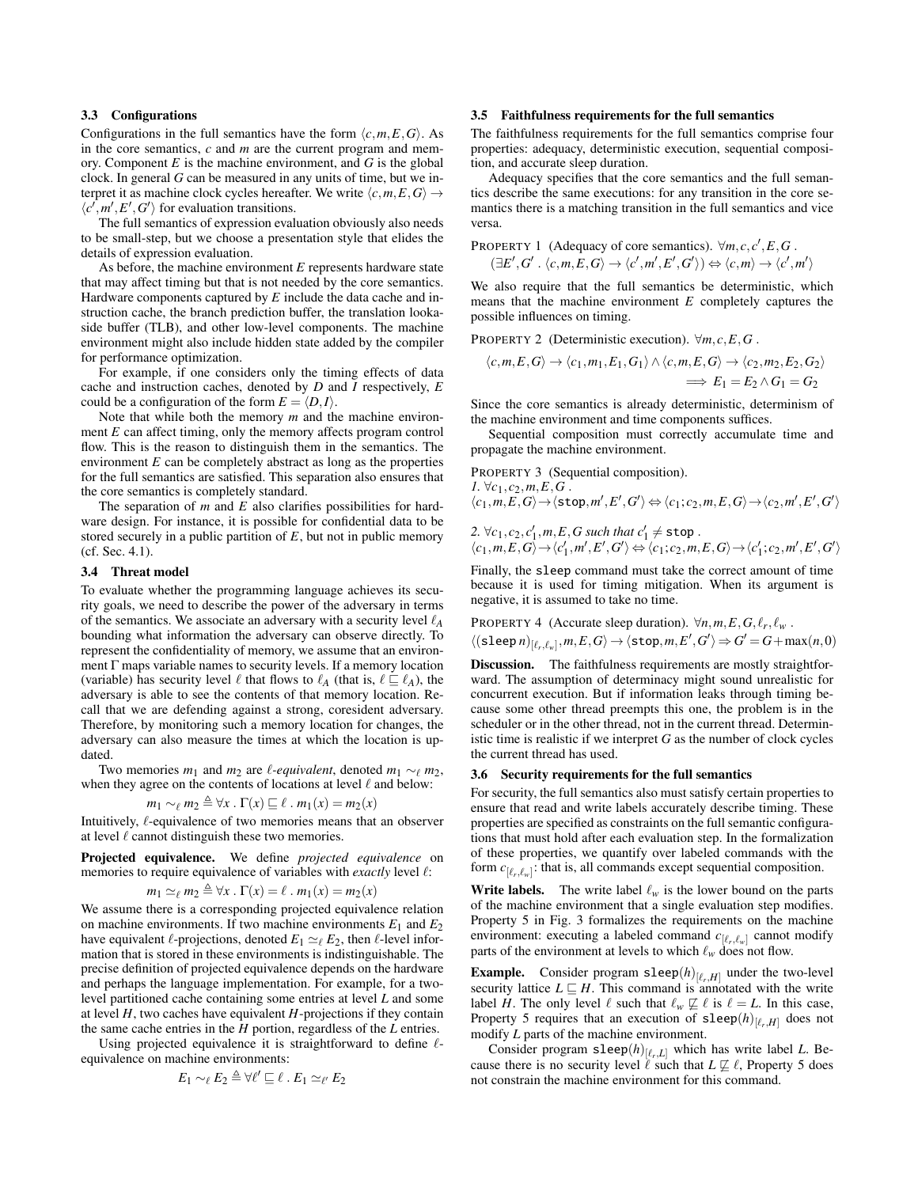# 3.3 Configurations

Configurations in the full semantics have the form  $\langle c, m, E, G \rangle$ . As in the core semantics, *c* and *m* are the current program and memory. Component *E* is the machine environment, and *G* is the global clock. In general *G* can be measured in any units of time, but we interpret it as machine clock cycles hereafter. We write  $\langle c, m, E, G \rangle \rightarrow$  $\langle c', m', E', G' \rangle$  for evaluation transitions.

The full semantics of expression evaluation obviously also needs to be small-step, but we choose a presentation style that elides the details of expression evaluation.

As before, the machine environment *E* represents hardware state that may affect timing but that is not needed by the core semantics. Hardware components captured by *E* include the data cache and instruction cache, the branch prediction buffer, the translation lookaside buffer (TLB), and other low-level components. The machine environment might also include hidden state added by the compiler for performance optimization.

For example, if one considers only the timing effects of data cache and instruction caches, denoted by *D* and *I* respectively, *E* could be a configuration of the form  $E = \langle D, I \rangle$ .

Note that while both the memory *m* and the machine environment *E* can affect timing, only the memory affects program control flow. This is the reason to distinguish them in the semantics. The environment *E* can be completely abstract as long as the properties for the full semantics are satisfied. This separation also ensures that the core semantics is completely standard.

The separation of *m* and *E* also clarifies possibilities for hardware design. For instance, it is possible for confidential data to be stored securely in a public partition of *E*, but not in public memory (cf. Sec. [4.1\)](#page-4-1).

#### <span id="page-3-4"></span>3.4 Threat model

To evaluate whether the programming language achieves its security goals, we need to describe the power of the adversary in terms of the semantics. We associate an adversary with a security level  $\ell_A$ bounding what information the adversary can observe directly. To represent the confidentiality of memory, we assume that an environment  $\Gamma$  maps variable names to security levels. If a memory location (variable) has security level  $\ell$  that flows to  $\ell_A$  (that is,  $\ell \subset \ell_A$ ), the adversary is able to see the contents of that memory location. Recall that we are defending against a strong, coresident adversary. Therefore, by monitoring such a memory location for changes, the adversary can also measure the times at which the location is updated.

Two memories  $m_1$  and  $m_2$  are  $\ell$ -equivalent, denoted  $m_1 \sim_\ell m_2$ , when they agree on the contents of locations at level  $\ell$  and below:

$$
m_1 \sim_{\ell} m_2 \triangleq \forall x \, . \, \Gamma(x) \sqsubseteq \ell \, . \, m_1(x) = m_2(x)
$$

Intuitively,  $\ell$ -equivalence of two memories means that an observer at level  $\ell$  cannot distinguish these two memories.

Projected equivalence. We define *projected equivalence* on memories to require equivalence of variables with *exactly* level  $\ell$ :

$$
m_1 \simeq_{\ell} m_2 \triangleq \forall x \, . \, \Gamma(x) = \ell \, . \, m_1(x) = m_2(x)
$$

We assume there is a corresponding projected equivalence relation on machine environments. If two machine environments  $E_1$  and  $E_2$ have equivalent  $\ell$ -projections, denoted  $E_1 \simeq_{\ell} E_2$ , then  $\ell$ -level information that is stored in these environments is indistinguishable. The precise definition of projected equivalence depends on the hardware and perhaps the language implementation. For example, for a twolevel partitioned cache containing some entries at level *L* and some at level *H*, two caches have equivalent *H*-projections if they contain the same cache entries in the *H* portion, regardless of the *L* entries.

Using projected equivalence it is straightforward to define  $\ell$ equivalence on machine environments:

$$
E_1 \sim_{\ell} E_2 \triangleq \forall \ell' \sqsubseteq \ell \ . \ E_1 \simeq_{\ell'} E_2
$$

## <span id="page-3-0"></span>3.5 Faithfulness requirements for the full semantics

The faithfulness requirements for the full semantics comprise four properties: adequacy, deterministic execution, sequential composition, and accurate sleep duration.

Adequacy specifies that the core semantics and the full semantics describe the same executions: for any transition in the core semantics there is a matching transition in the full semantics and vice versa.

<span id="page-3-3"></span>**PROPERTIES 1** (Adequacy of core semantics). 
$$
\forall m, c, c', E, G
$$
.

<span id="page-3-2"></span>
$$
(\exists E', G' \,.\,\langle c,m,E,G\rangle \rightarrow \langle c',m',E',G'\rangle) \Leftrightarrow \langle c,m\rangle \rightarrow \langle c',m'\rangle
$$

We also require that the full semantics be deterministic, which means that the machine environment *E* completely captures the possible influences on timing.

PROPERTY 2 (Deterministic execution).  $\forall m, c, E, G$ .

$$
\langle c,m,E,G\rangle \to \langle c_1,m_1,E_1,G_1\rangle \land \langle c,m,E,G\rangle \to \langle c_2,m_2,E_2,G_2\rangle
$$
  

$$
\implies E_1 = E_2 \land G_1 = G_2
$$

Since the core semantics is already deterministic, determinism of the machine environment and time components suffices.

Sequential composition must correctly accumulate time and propagate the machine environment.

**PROPERTIES 3** (Sequential composition).  
*I.* 
$$
\forall c_1, c_2, m, E, G
$$
.

$$
\langle c_1,m,E,G\rangle \rightarrow \langle \text{stop},m',E',G'\rangle \Leftrightarrow \langle c_1;c_2,m,E,G\rangle \rightarrow \langle c_2,m',E',G'\rangle
$$

2. 
$$
\forall c_1, c_2, c'_1, m, E, G
$$
 such that  $c'_1 \neq$  stop.  
\n $\langle c_1, m, E, G \rangle \rightarrow \langle c'_1, m', E', G' \rangle \Leftrightarrow \langle c_1; c_2, m, E, G \rangle \rightarrow \langle c'_1; c_2, m', E', G' \rangle$ 

Finally, the sleep command must take the correct amount of time because it is used for timing mitigation. When its argument is negative, it is assumed to take no time.

PROPERTIES 4 (Accurate sleep duration). 
$$
\forall n, m, E, G, \ell_r, \ell_w
$$
.  
\n $\langle$ (sleep  $n \rangle_{[\ell_r, \ell_w]}$ ,  $m, E, G \rangle \rightarrow \langle$ stop,  $m, E', G' \rangle \Rightarrow G' = G + max(n, 0)$ 

Discussion. The faithfulness requirements are mostly straightforward. The assumption of determinacy might sound unrealistic for concurrent execution. But if information leaks through timing because some other thread preempts this one, the problem is in the scheduler or in the other thread, not in the current thread. Deterministic time is realistic if we interpret *G* as the number of clock cycles the current thread has used.

## <span id="page-3-1"></span>3.6 Security requirements for the full semantics

For security, the full semantics also must satisfy certain properties to ensure that read and write labels accurately describe timing. These properties are specified as constraints on the full semantic configurations that must hold after each evaluation step. In the formalization of these properties, we quantify over labeled commands with the form  $c_{[\ell_r,\ell_w]}$ : that is, all commands except sequential composition.

**Write labels.** The write label  $\ell_w$  is the lower bound on the parts of the machine environment that a single evaluation step modifies. Property [5](#page-4-2) in Fig. [3](#page-4-3) formalizes the requirements on the machine environment: executing a labeled command  $c_{[\ell_r,\ell_w]}$  cannot modify parts of the environment at levels to which  $\ell_w$  does not flow.

**Example.** Consider program sleep $(h)_{[\ell_r,H]}$  under the two-level security lattice  $L \sqsubseteq H$ . This command is annotated with the write label *H*. The only level  $\ell$  such that  $\ell_w \not\sqsubseteq \ell$  is  $\ell = L$ . In this case, Property [5](#page-4-2) requires that an execution of  $\texttt{sleep}(h)_{[\ell_r,H]}$  does not modify *L* parts of the machine environment.

Consider program  $\text{sleep}(h)_{[\ell_r,L]}$  which has write label *L*. Because there is no security level  $\ell$  such that  $L \not\sqsubseteq \ell$ , Property [5](#page-4-2) does not constrain the machine environment for this command.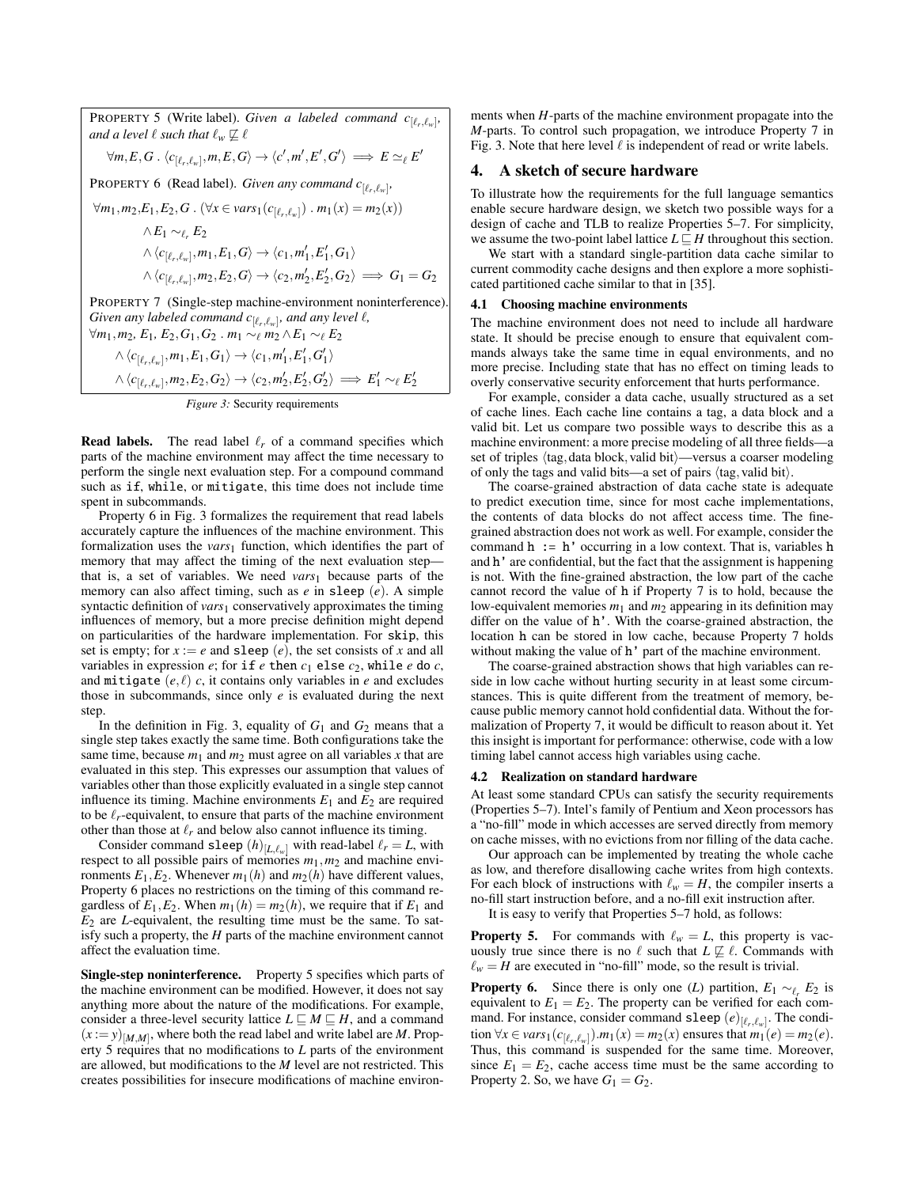<span id="page-4-3"></span><span id="page-4-2"></span>**PROPERTY 5** (Write label). *Given a labeled command*  $c_{[\ell_r,\ell_w]}$ , *and a level*  $\ell$  *such that*  $\ell_w \not\sqsubseteq \ell$ ∀*m*,*E*,*G* . h*c*[`*<sup>r</sup>*

$$
\forall m, E, G \ . \ \langle c_{[\ell_r, \ell_w]}, m, E, G \rangle \rightarrow \langle c', m', E', G' \rangle \implies E \simeq_{\ell} E'
$$

<span id="page-4-4"></span>PROPERTY 6 (Read label). *Given any command*  $c_{[\ell_r,\ell_w]}$ ,

 $∀m_1, m_2, E_1, E_2, G$ . (∀*x* ∈ *vars*<sub>1</sub>( $c_{[\ell_r,\ell_w]}$ ) .  $m_1(x) = m_2(x)$ )

$$
\wedge E_1 \sim_{\ell_r} E_2
$$
  
\n
$$
\wedge \langle c_{[\ell_r, \ell_w]}, m_1, E_1, G \rangle \rightarrow \langle c_1, m'_1, E'_1, G_1 \rangle
$$
  
\n
$$
\wedge \langle c_{[\ell_r, \ell_w]}, m_2, E_2, G \rangle \rightarrow \langle c_2, m'_2, E'_2, G_2 \rangle \implies G_1 = G_2
$$

<span id="page-4-5"></span>PROPERTY 7 (Single-step machine-environment noninterference). *Given any labeled command*  $c_{[\ell_r,\ell_w]}$ *, and any level*  $\ell$ *,*  $\forall m_1, m_2, E_1, E_2, G_1, G_2, m_1 \sim_{\ell} m_2 \wedge E_1 \sim_{\ell} E_2$ 

$$
\langle c_{[\ell_r,\ell_w]}, m_1, E_1, G_1 \rangle \rightarrow \langle c_1, m'_1, E'_1, G'_1 \rangle
$$
  
 
$$
\wedge \langle c_{[\ell_r,\ell_w]}, m_1, E_1, G_1 \rangle \rightarrow \langle c_1, m'_1, E'_1, G'_1 \rangle
$$
  
 
$$
\wedge \langle c_{[\ell_r,\ell_w]}, m_2, E_2, G_2 \rangle \rightarrow \langle c_2, m'_2, E'_2, G'_2 \rangle \implies E'_1 \sim_{\ell} E'_2
$$

*Figure 3:* Security requirements

**Read labels.** The read label  $\ell_r$  of a command specifies which parts of the machine environment may affect the time necessary to perform the single next evaluation step. For a compound command such as if, while, or mitigate, this time does not include time spent in subcommands.

Property [6](#page-4-4) in Fig. [3](#page-4-3) formalizes the requirement that read labels accurately capture the influences of the machine environment. This formalization uses the *vars*<sup>1</sup> function, which identifies the part of memory that may affect the timing of the next evaluation step that is, a set of variables. We need *vars*<sup>1</sup> because parts of the memory can also affect timing, such as *e* in sleep (*e*). A simple syntactic definition of *vars*<sup>1</sup> conservatively approximates the timing influences of memory, but a more precise definition might depend on particularities of the hardware implementation. For skip, this set is empty; for  $x := e$  and sleep  $(e)$ , the set consists of x and all variables in expression  $e$ ; for if  $e$  then  $c_1$  else  $c_2$ , while  $e$  do  $c$ , and mitigate  $(e, \ell)$  *c*, it contains only variables in *e* and excludes those in subcommands, since only *e* is evaluated during the next step.

In the definition in Fig. [3,](#page-4-3) equality of  $G_1$  and  $G_2$  means that a single step takes exactly the same time. Both configurations take the same time, because  $m_1$  and  $m_2$  must agree on all variables x that are evaluated in this step. This expresses our assumption that values of variables other than those explicitly evaluated in a single step cannot influence its timing. Machine environments  $E_1$  and  $E_2$  are required to be  $\ell_r$ -equivalent, to ensure that parts of the machine environment other than those at  $\ell_r$  and below also cannot influence its timing.

Consider command sleep  $(h)_{[L,\ell_w]}$  with read-label  $\ell_r = L$ , with respect to all possible pairs of memories *m*1,*m*<sup>2</sup> and machine environments  $E_1, E_2$ . Whenever  $m_1(h)$  and  $m_2(h)$  have different values, Property [6](#page-4-4) places no restrictions on the timing of this command regardless of  $E_1, E_2$ . When  $m_1(h) = m_2(h)$ , we require that if  $E_1$  and *E*<sup>2</sup> are *L*-equivalent, the resulting time must be the same. To satisfy such a property, the *H* parts of the machine environment cannot affect the evaluation time.

Single-step noninterference. Property [5](#page-4-2) specifies which parts of the machine environment can be modified. However, it does not say anything more about the nature of the modifications. For example, consider a three-level security lattice  $L \sqsubseteq M \sqsubseteq H$ , and a command  $(x := y)_{[M,M]}$ , where both the read label and write label are *M*. Property [5](#page-4-2) requires that no modifications to *L* parts of the environment are allowed, but modifications to the *M* level are not restricted. This creates possibilities for insecure modifications of machine environ-

ments when *H*-parts of the machine environment propagate into the *M*-parts. To control such propagation, we introduce Property [7](#page-4-5) in Fig. [3.](#page-4-3) Note that here level  $\ell$  is independent of read or write labels.

# <span id="page-4-0"></span>4. A sketch of secure hardware

To illustrate how the requirements for the full language semantics enable secure hardware design, we sketch two possible ways for a design of cache and TLB to realize Properties [5](#page-4-2)[–7.](#page-4-5) For simplicity, we assume the two-point label lattice  $L \sqsubseteq H$  throughout this section.

We start with a standard single-partition data cache similar to current commodity cache designs and then explore a more sophisticated partitioned cache similar to that in [\[35\]](#page-10-20).

## <span id="page-4-1"></span>4.1 Choosing machine environments

The machine environment does not need to include all hardware state. It should be precise enough to ensure that equivalent commands always take the same time in equal environments, and no more precise. Including state that has no effect on timing leads to overly conservative security enforcement that hurts performance.

For example, consider a data cache, usually structured as a set of cache lines. Each cache line contains a tag, a data block and a valid bit. Let us compare two possible ways to describe this as a machine environment: a more precise modeling of all three fields—a set of triples  $\langle tag, data \, block, valid \, bit \rangle$ —versus a coarser modeling of only the tags and valid bits—a set of pairs  $\langle$ tag,valid bit $\rangle$ .

The coarse-grained abstraction of data cache state is adequate to predict execution time, since for most cache implementations, the contents of data blocks do not affect access time. The finegrained abstraction does not work as well. For example, consider the command  $h := h'$  occurring in a low context. That is, variables  $h$ and h' are confidential, but the fact that the assignment is happening is not. With the fine-grained abstraction, the low part of the cache cannot record the value of h if Property [7](#page-4-5) is to hold, because the low-equivalent memories  $m_1$  and  $m_2$  appearing in its definition may differ on the value of h'. With the coarse-grained abstraction, the location h can be stored in low cache, because Property [7](#page-4-5) holds without making the value of h' part of the machine environment.

The coarse-grained abstraction shows that high variables can reside in low cache without hurting security in at least some circumstances. This is quite different from the treatment of memory, because public memory cannot hold confidential data. Without the formalization of Property [7,](#page-4-5) it would be difficult to reason about it. Yet this insight is important for performance: otherwise, code with a low timing label cannot access high variables using cache.

# 4.2 Realization on standard hardware

At least some standard CPUs can satisfy the security requirements (Properties [5](#page-4-2)[–7\)](#page-4-5). Intel's family of Pentium and Xeon processors has a "no-fill" mode in which accesses are served directly from memory on cache misses, with no evictions from nor filling of the data cache.

Our approach can be implemented by treating the whole cache as low, and therefore disallowing cache writes from high contexts. For each block of instructions with  $\ell_w = H$ , the compiler inserts a no-fill start instruction before, and a no-fill exit instruction after.

It is easy to verify that Properties [5–](#page-4-2)[7](#page-4-5) hold, as follows:

**Property [5.](#page-4-2)** For commands with  $\ell_w = L$ , this property is vacuously true since there is no  $\ell$  such that  $L \not\sqsubseteq \ell$ . Commands with  $\ell_w = H$  are executed in "no-fill" mode, so the result is trivial.

**Property [6.](#page-4-4)** Since there is only one *(L)* partition,  $E_1 \sim_{\ell_r} E_2$  is equivalent to  $E_1 = E_2$ . The property can be verified for each command. For instance, consider command sleep  $(e)_{[\ell_r,\ell_w]}$ . The condi- $\forall x \in vars_1(c_{[\ell_r,\ell_w]}) . m_1(x) = m_2(x)$  ensures that  $m_1(e) = m_2(e)$ . Thus, this command is suspended for the same time. Moreover, since  $E_1 = E_2$ , cache access time must be the same according to Property [2.](#page-3-2) So, we have  $G_1 = G_2$ .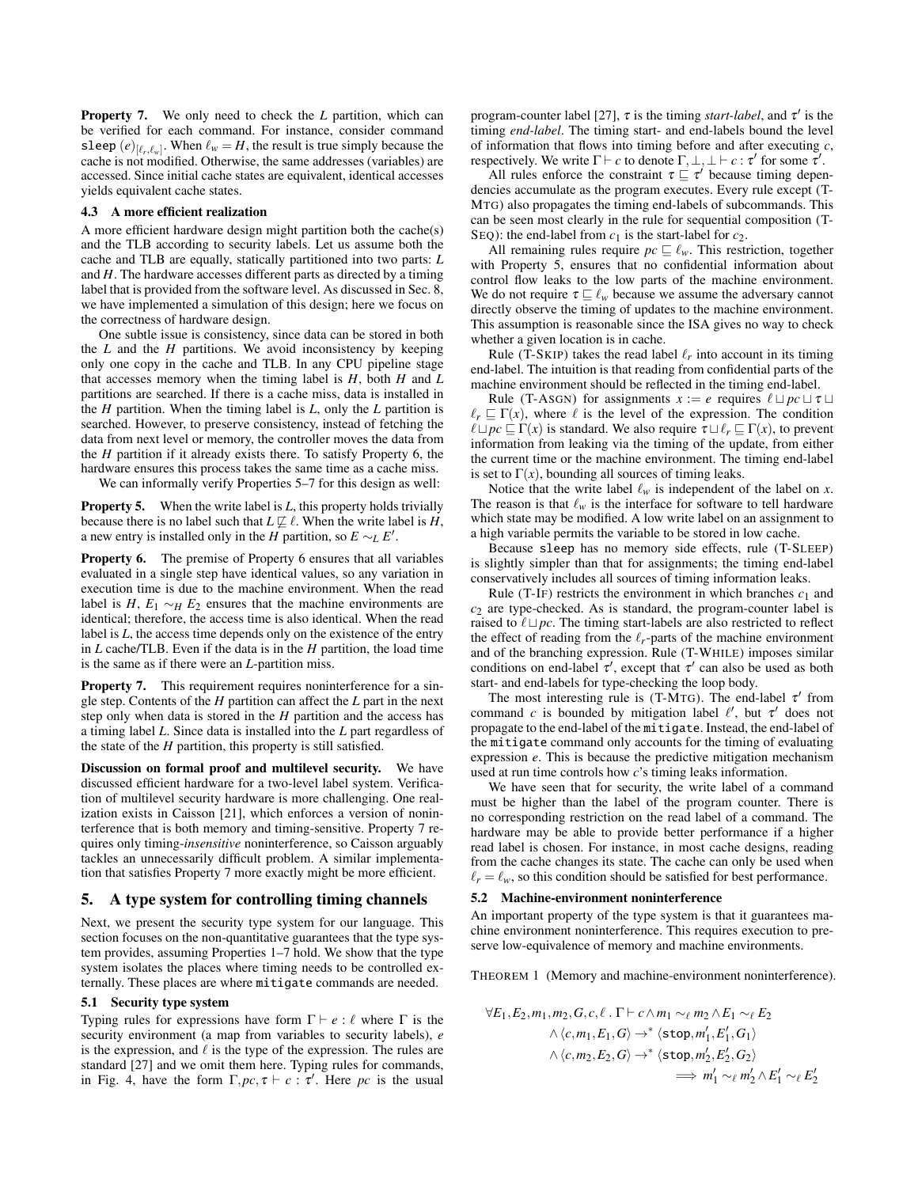Property [7.](#page-4-5) We only need to check the *L* partition, which can be verified for each command. For instance, consider command sleep  $(e)_{[\ell_r,\ell_w]}$ . When  $\ell_w = H$ , the result is true simply because the cache is not modified. Otherwise, the same addresses (variables) are accessed. Since initial cache states are equivalent, identical accesses yields equivalent cache states.

#### <span id="page-5-2"></span>4.3 A more efficient realization

A more efficient hardware design might partition both the cache(s) and the TLB according to security labels. Let us assume both the cache and TLB are equally, statically partitioned into two parts: *L* and *H*. The hardware accesses different parts as directed by a timing label that is provided from the software level. As discussed in Sec. [8,](#page-8-0) we have implemented a simulation of this design; here we focus on the correctness of hardware design.

One subtle issue is consistency, since data can be stored in both the *L* and the *H* partitions. We avoid inconsistency by keeping only one copy in the cache and TLB. In any CPU pipeline stage that accesses memory when the timing label is *H*, both *H* and *L* partitions are searched. If there is a cache miss, data is installed in the *H* partition. When the timing label is *L*, only the *L* partition is searched. However, to preserve consistency, instead of fetching the data from next level or memory, the controller moves the data from the *H* partition if it already exists there. To satisfy Property [6,](#page-4-4) the hardware ensures this process takes the same time as a cache miss.

We can informally verify Properties [5](#page-4-2)[–7](#page-4-5) for this design as well:

**Property [5.](#page-4-2)** When the write label is *L*, this property holds trivially because there is no label such that  $L \not\sqsubseteq \ell$ . When the write label is *H*, a new entry is installed only in the *H* partition, so  $E \sim_L E'$ .

Property [6.](#page-4-4) The premise of Property [6](#page-4-4) ensures that all variables evaluated in a single step have identical values, so any variation in execution time is due to the machine environment. When the read label is *H*,  $E_1 \sim_H E_2$  ensures that the machine environments are identical; therefore, the access time is also identical. When the read label is *L*, the access time depends only on the existence of the entry in *L* cache/TLB. Even if the data is in the *H* partition, the load time is the same as if there were an *L*-partition miss.

Property [7.](#page-4-5) This requirement requires noninterference for a single step. Contents of the *H* partition can affect the *L* part in the next step only when data is stored in the *H* partition and the access has a timing label *L*. Since data is installed into the *L* part regardless of the state of the *H* partition, this property is still satisfied.

Discussion on formal proof and multilevel security. We have discussed efficient hardware for a two-level label system. Verification of multilevel security hardware is more challenging. One realization exists in Caisson [\[21\]](#page-10-24), which enforces a version of noninterference that is both memory and timing-sensitive. Property [7](#page-4-5) requires only timing-*insensitive* noninterference, so Caisson arguably tackles an unnecessarily difficult problem. A similar implementation that satisfies Property [7](#page-4-5) more exactly might be more efficient.

# <span id="page-5-0"></span>5. A type system for controlling timing channels

Next, we present the security type system for our language. This section focuses on the non-quantitative guarantees that the type system provides, assuming Properties [1–](#page-3-3)[7](#page-4-5) hold. We show that the type system isolates the places where timing needs to be controlled externally. These places are where mitigate commands are needed.

## <span id="page-5-3"></span>5.1 Security type system

Typing rules for expressions have form  $\Gamma \vdash e : \ell$  where  $\Gamma$  is the security environment (a map from variables to security labels), *e* is the expression, and  $\ell$  is the type of the expression. The rules are standard [\[27\]](#page-10-22) and we omit them here. Typing rules for commands, in Fig. [4,](#page-6-1) have the form  $\Gamma$ ,  $pc$ ,  $\tau \vdash c : \tau'$ . Here  $pc$  is the usual

program-counter label [\[27\]](#page-10-22),  $\tau$  is the timing *start-label*, and  $\tau'$  is the timing *end-label*. The timing start- and end-labels bound the level of information that flows into timing before and after executing *c*, respectively. We write  $\Gamma \vdash c$  to denote  $\Gamma, \bot, \bot \vdash c : \tau'$  for some  $\tau'$ .

All rules enforce the constraint  $\tau \sqsubseteq \tau'$  because timing dependencies accumulate as the program executes. Every rule except (T-MTG) also propagates the timing end-labels of subcommands. This can be seen most clearly in the rule for sequential composition (T-SEQ): the end-label from  $c_1$  is the start-label for  $c_2$ .

All remaining rules require  $pc \sqsubseteq \ell_w$ . This restriction, together with Property [5,](#page-4-2) ensures that no confidential information about control flow leaks to the low parts of the machine environment. We do not require  $\tau \sqsubseteq \ell_w$  because we assume the adversary cannot directly observe the timing of updates to the machine environment. This assumption is reasonable since the ISA gives no way to check whether a given location is in cache.

Rule (T-SKIP) takes the read label  $\ell_r$  into account in its timing end-label. The intuition is that reading from confidential parts of the machine environment should be reflected in the timing end-label.

Rule (T-ASGN) for assignments  $x := e$  requires  $\ell \sqcup pc \sqcup \tau \sqcup$  $\ell_r \subseteq \Gamma(x)$ , where  $\ell$  is the level of the expression. The condition  $\ell \sqcup pc \sqsubseteq \Gamma(x)$  is standard. We also require  $\tau \sqcup \ell_r \sqsubseteq \Gamma(x)$ , to prevent information from leaking via the timing of the update, from either the current time or the machine environment. The timing end-label is set to  $\Gamma(x)$ , bounding all sources of timing leaks.

Notice that the write label  $\ell_w$  is independent of the label on *x*. The reason is that  $\ell_w$  is the interface for software to tell hardware which state may be modified. A low write label on an assignment to a high variable permits the variable to be stored in low cache.

Because sleep has no memory side effects, rule (T-SLEEP) is slightly simpler than that for assignments; the timing end-label conservatively includes all sources of timing information leaks.

Rule (T-IF) restricts the environment in which branches  $c_1$  and *c*<sup>2</sup> are type-checked. As is standard, the program-counter label is raised to  $\ell \sqcup pc$ . The timing start-labels are also restricted to reflect the effect of reading from the  $\ell_r$ -parts of the machine environment and of the branching expression. Rule (T-WHILE) imposes similar conditions on end-label  $\tau'$ , except that  $\tau'$  can also be used as both start- and end-labels for type-checking the loop body.

The most interesting rule is (T-MTG). The end-label  $\tau'$  from command *c* is bounded by mitigation label  $\ell'$ , but  $\tau'$  does not propagate to the end-label of the mitigate. Instead, the end-label of the mitigate command only accounts for the timing of evaluating expression *e*. This is because the predictive mitigation mechanism used at run time controls how *c*'s timing leaks information.

We have seen that for security, the write label of a command must be higher than the label of the program counter. There is no corresponding restriction on the read label of a command. The hardware may be able to provide better performance if a higher read label is chosen. For instance, in most cache designs, reading from the cache changes its state. The cache can only be used when  $\ell_r = \ell_w$ , so this condition should be satisfied for best performance.

#### 5.2 Machine-environment noninterference

An important property of the type system is that it guarantees machine environment noninterference. This requires execution to preserve low-equivalence of memory and machine environments.

THEOREM 1 (Memory and machine-environment noninterference).

<span id="page-5-1"></span>
$$
\forall E_1, E_2, m_1, m_2, G, c, \ell \cdot \Gamma \vdash c \land m_1 \sim_{\ell} m_2 \land E_1 \sim_{\ell} E_2
$$
  
 
$$
\land \langle c, m_1, E_1, G \rangle \rightarrow^* \langle \text{stop}, m'_1, E'_1, G_1 \rangle
$$
  
 
$$
\land \langle c, m_2, E_2, G \rangle \rightarrow^* \langle \text{stop}, m'_2, E'_2, G_2 \rangle
$$
  
 
$$
\implies m'_1 \sim_{\ell} m'_2 \land E'_1 \sim_{\ell} E'_2
$$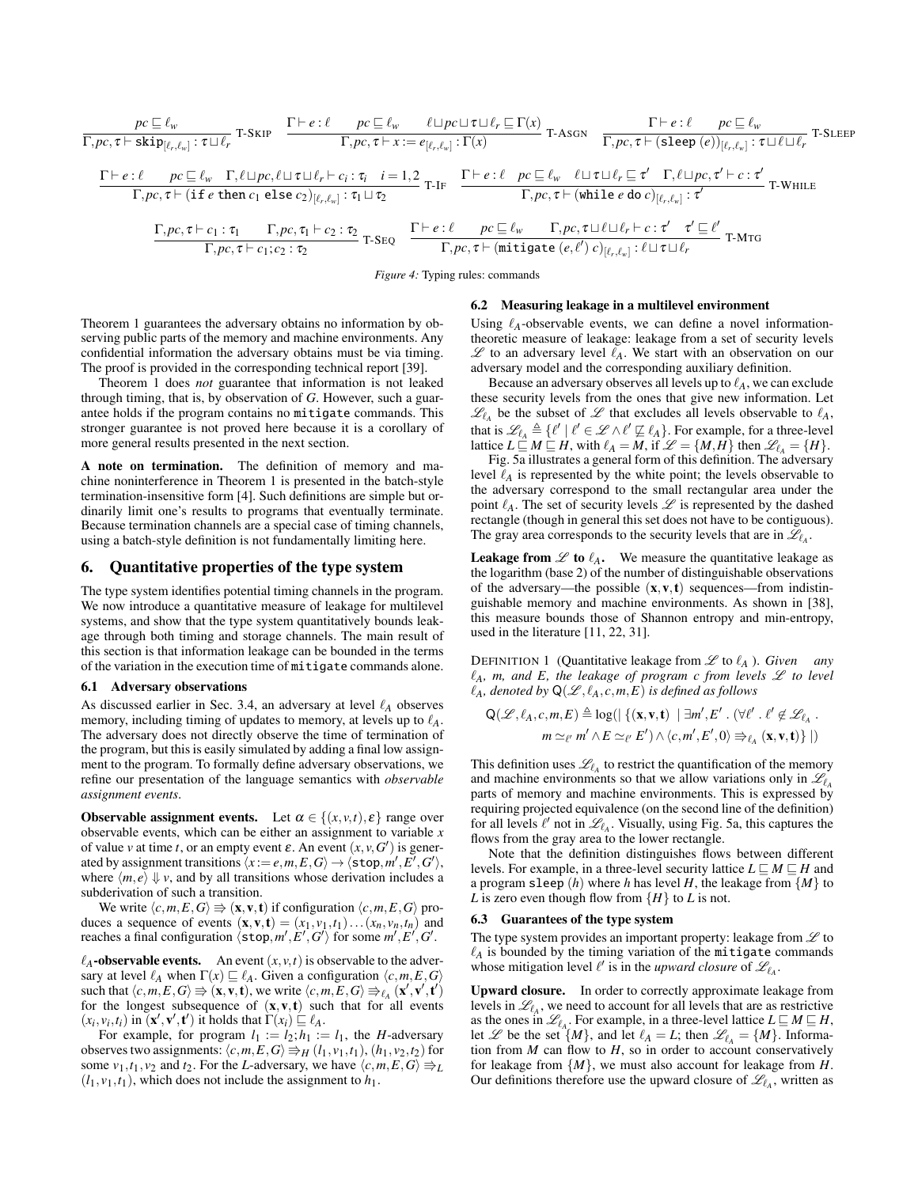<span id="page-6-1"></span>
$$
\frac{pc \sqsubseteq \ell_{w}}{\Gamma, pc, \tau \vdash \text{skip}[\ell_{r}, \ell_{w}] : \tau \sqcup \ell_{r}} \text{ T-SKIP} \quad \frac{\Gamma \vdash e : \ell \quad pc \sqsubseteq \ell_{w} \quad \ell \sqcup pc \sqcup \tau \sqcup \ell_{r} \sqsubseteq \Gamma(x)}{\Gamma, pc, \tau \vdash x := e_{[\ell_{r}, \ell_{w}]} : \Gamma(x)} \text{ T-ASGN} \quad \frac{\Gamma \vdash e : \ell \quad pc \sqsubseteq \ell_{w}}{\Gamma, pc, \tau \vdash (\text{sleep } (e))_{[\ell_{r}, \ell_{w}]} : \tau \sqcup \ell \sqcup \ell_{r}} \text{ T-SLEEP}
$$
\n
$$
\frac{\Gamma \vdash e : \ell \quad pc \sqsubseteq \ell_{w} \quad \Gamma, \ell \sqcup pc, \ell \sqcup \tau \sqcup \ell_{r} \vdash c_{i} : \tau_{i} \quad i = 1, 2}{\Gamma, pc, \tau \vdash (i \text{fe then } c_{1} \text{ else } c_{2})_{[\ell_{r}, \ell_{w}]} : \tau_{1} \sqcup \tau_{2}} \text{ T-IF} \quad \frac{\Gamma \vdash e : \ell \quad pc \sqsubseteq \ell_{w} \quad \ell \sqcup \tau \sqcup \ell_{r} \sqsubseteq \tau' \quad \Gamma, \ell \sqcup pc, \tau' \vdash c : \tau' \quad \Gamma, \text{White} \mid \ell_{r} \sqcup \ell_{r} \sqcup \ell_{r}}{\Gamma, pc, \tau \vdash (\text{while } e \text{ do } c)_{[\ell_{r}, \ell_{w}]} : \tau'} \text{ T-WHILE}
$$
\n
$$
\frac{\Gamma, pc, \tau \vdash c_{1} : \tau_{1} \quad \Gamma, pc, \tau_{1} \vdash c_{2} : \tau_{2}}{\Gamma, pc, \tau \vdash c_{1}; c_{2} : \tau_{2}} \text{ T-SEQ} \quad \frac{\Gamma \vdash e : \ell \quad pc \sqsubseteq \ell_{w} \quad \Gamma, pc, \tau \sqcup \ell \sqcup \ell_{r} \vdash c : \tau' \quad \tau' \sqsubseteq \ell'}{\Gamma, pc, \tau \vdash (\text{mitigate } (e, \ell') \ c)_{[\ell_{r}, \ell_{w}]} : \ell \sqcup \tau \sqcup \ell_{r}} \text{ T-MTG}
$$

*Figure 4:* Typing rules: commands

### 6.2 Measuring leakage in a multilevel environment

Theorem [1](#page-5-1) guarantees the adversary obtains no information by observing public parts of the memory and machine environments. Any confidential information the adversary obtains must be via timing. The proof is provided in the corresponding technical report [\[39\]](#page-10-25).

Theorem [1](#page-5-1) does *not* guarantee that information is not leaked through timing, that is, by observation of *G*. However, such a guarantee holds if the program contains no mitigate commands. This stronger guarantee is not proved here because it is a corollary of more general results presented in the next section.

A note on termination. The definition of memory and machine noninterference in Theorem [1](#page-5-1) is presented in the batch-style termination-insensitive form [\[4\]](#page-10-26). Such definitions are simple but ordinarily limit one's results to programs that eventually terminate. Because termination channels are a special case of timing channels, using a batch-style definition is not fundamentally limiting here.

# <span id="page-6-0"></span>6. Quantitative properties of the type system

The type system identifies potential timing channels in the program. We now introduce a quantitative measure of leakage for multilevel systems, and show that the type system quantitatively bounds leakage through both timing and storage channels. The main result of this section is that information leakage can be bounded in the terms of the variation in the execution time of mitigate commands alone.

#### 6.1 Adversary observations

As discussed earlier in Sec. [3.4,](#page-3-4) an adversary at level  $\ell_A$  observes memory, including timing of updates to memory, at levels up to  $\ell_A$ . The adversary does not directly observe the time of termination of the program, but this is easily simulated by adding a final low assignment to the program. To formally define adversary observations, we refine our presentation of the language semantics with *observable assignment events*.

**Observable assignment events.** Let  $\alpha \in \{(x, v, t), \varepsilon\}$  range over observable events, which can be either an assignment to variable *x* of value *v* at time *t*, or an empty event  $\varepsilon$ . An event  $(x, v, G')$  is generated by assignment transitions  $\langle x := e, m, E, G \rangle \rightarrow \langle \texttt{stop}, m', E', G' \rangle$ , where  $\langle m, e \rangle \Downarrow v$ , and by all transitions whose derivation includes a subderivation of such a transition.

We write  $\langle c,m,E,G \rangle \Rightarrow (\mathbf{x},\mathbf{v},\mathbf{t})$  if configuration  $\langle c,m,E,G \rangle$  produces a sequence of events  $(\mathbf{x}, \mathbf{v}, \mathbf{t}) = (x_1, v_1, t_1) \dots (x_n, v_n, t_n)$  and reaches a final configuration  $\langle \text{stop}, m', E', G' \rangle$  for some  $m', E', G'$ .

 $\ell_A$ -observable events. An event  $(x, v, t)$  is observable to the adversary at level  $\ell_A$  when  $\Gamma(x) \sqsubseteq \ell_A$ . Given a configuration  $\langle c, m, E, G \rangle$ such that  $\langle c, m, E, G \rangle \Rightarrow (\mathbf{x}, \mathbf{v}, \mathbf{t})$ , we write  $\langle c, m, E, G \rangle \Rightarrow_{\ell_A} (\mathbf{x}', \mathbf{v}', \mathbf{t}')$ for the longest subsequence of  $(x, v, t)$  such that for all events  $(x_i, v_i, t_i)$  in  $(\mathbf{x}', \mathbf{v}', \mathbf{t}')$  it holds that  $\Gamma(x_i) \subseteq \ell_A$ .

For example, for program  $l_1 := l_2; h_1 := l_1$ , the *H*-adversary observes two assignments:  $\langle c, m, E, G \rangle \Rightarrow_H (l_1, v_1, t_1), (h_1, v_2, t_2)$  for some  $v_1, t_1, v_2$  and  $t_2$ . For the *L*-adversary, we have  $\langle c, m, E, G \rangle \Rightarrow_L$  $(l_1, v_1, t_1)$ , which does not include the assignment to  $h_1$ .

# Using  $\ell_A$ -observable events, we can define a novel informationtheoretic measure of leakage: leakage from a set of security levels  $\mathscr L$  to an adversary level  $\ell_A$ . We start with an observation on our adversary model and the corresponding auxiliary definition.

Because an adversary observes all levels up to  $\ell_A$ , we can exclude these security levels from the ones that give new information. Let  $\mathcal{L}_{\ell_A}$  be the subset of  $\mathcal L$  that excludes all levels observable to  $\ell_A$ , that is  $\mathscr{L}_{\ell_A} \triangleq \{ \ell' \mid \ell' \in \mathscr{L} \wedge \ell' \not\sqsubseteq \ell_A \}.$  For example, for a three-level lattice  $L \sqsubseteq M \sqsubseteq H$ , with  $\ell_A = M$ , if  $\mathscr{L} = \{M, H\}$  then  $\mathscr{L}_{\ell_A} = \{H\}.$ 

Fig. [5a](#page-7-1) illustrates a general form of this definition. The adversary level  $\ell_A$  is represented by the white point; the levels observable to the adversary correspond to the small rectangular area under the point  $\ell_A$ . The set of security levels  $\mathscr L$  is represented by the dashed rectangle (though in general this set does not have to be contiguous). The gray area corresponds to the security levels that are in  $\mathscr{L}_{\ell_A}$ .

**Leakage from**  $\mathscr L$  **to**  $\ell_A$ **.** We measure the quantitative leakage as the logarithm (base 2) of the number of distinguishable observations of the adversary—the possible  $(x, v, t)$  sequences—from indistinguishable memory and machine environments. As shown in [\[38\]](#page-10-15), this measure bounds those of Shannon entropy and min-entropy, used in the literature [\[11,](#page-10-23) [22,](#page-10-4) [31\]](#page-10-27).

<span id="page-6-2"></span>DEFINITION 1 (Quantitative leakage from  $\mathscr L$  to  $\ell_A$ ). *Given any*  $\ell_A$ , m, and E, the leakage of program c from levels  $\mathscr L$  to level  $\ell_A$ *, denoted by*  $\mathsf{Q}(\mathscr{L}, \ell_A, c, m, E)$  *is defined as follows* 

$$
\begin{aligned} \mathsf{Q}(\mathscr{L},\ell_A,c,m,E) &\triangleq \log(\big|\left\{(\mathbf{x},\mathbf{v},\mathbf{t})\ \left|\ \exists m',E'\cdot(\forall \ell'\cdot\ell'\not\in\mathscr{L}_{\ell_A}\right.\right.\\ &\left.m\simeq_{\ell'} m'\wedge E\simeq_{\ell'} E'\right)\wedge\langle c,m',E',0\rangle \Rightarrow_{\ell_A}(\mathbf{x},\mathbf{v},\mathbf{t})\big|\big.\big|\end{aligned}
$$

This definition uses  $\mathcal{L}_{\ell_A}$  to restrict the quantification of the memory and machine environments so that we allow variations only in  $\mathcal{L}_l$ parts of memory and machine environments. This is expressed by requiring projected equivalence (on the second line of the definition) for all levels  $\ell'$  not in  $\mathcal{L}_{\ell_A}$ . Visually, using Fig. [5a,](#page-7-1) this captures the flows from the gray area to the lower rectangle.

Note that the definition distinguishes flows between different levels. For example, in a three-level security lattice  $L \sqsubseteq M \sqsubseteq H$  and a program sleep  $(h)$  where  $h$  has level  $H$ , the leakage from  $\{M\}$  to *L* is zero even though flow from  ${H}$  to *L* is not.

#### 6.3 Guarantees of the type system

The type system provides an important property: leakage from  $\mathscr L$  to  $\ell_A$  is bounded by the timing variation of the mitigate commands whose mitigation level  $\ell'$  is in the *upward closure* of  $\mathcal{L}_{\ell_A}$ .

Upward closure. In order to correctly approximate leakage from levels in  $\mathcal{L}_{\ell_A}$ , we need to account for all levels that are as restrictive as the ones in  $\mathscr{L}_{\ell_A}$ . For example, in a three-level lattice  $L \sqsubseteq M \sqsubseteq H$ , let  $\mathscr L$  be the set  $\{M\}$ , and let  $\ell_A = L$ ; then  $\mathscr L_{\ell_A} = \{M\}$ . Information from *M* can flow to *H*, so in order to account conservatively for leakage from  $\{M\}$ , we must also account for leakage from *H*. Our definitions therefore use the upward closure of  $\mathcal{L}_{\ell_A}$ , written as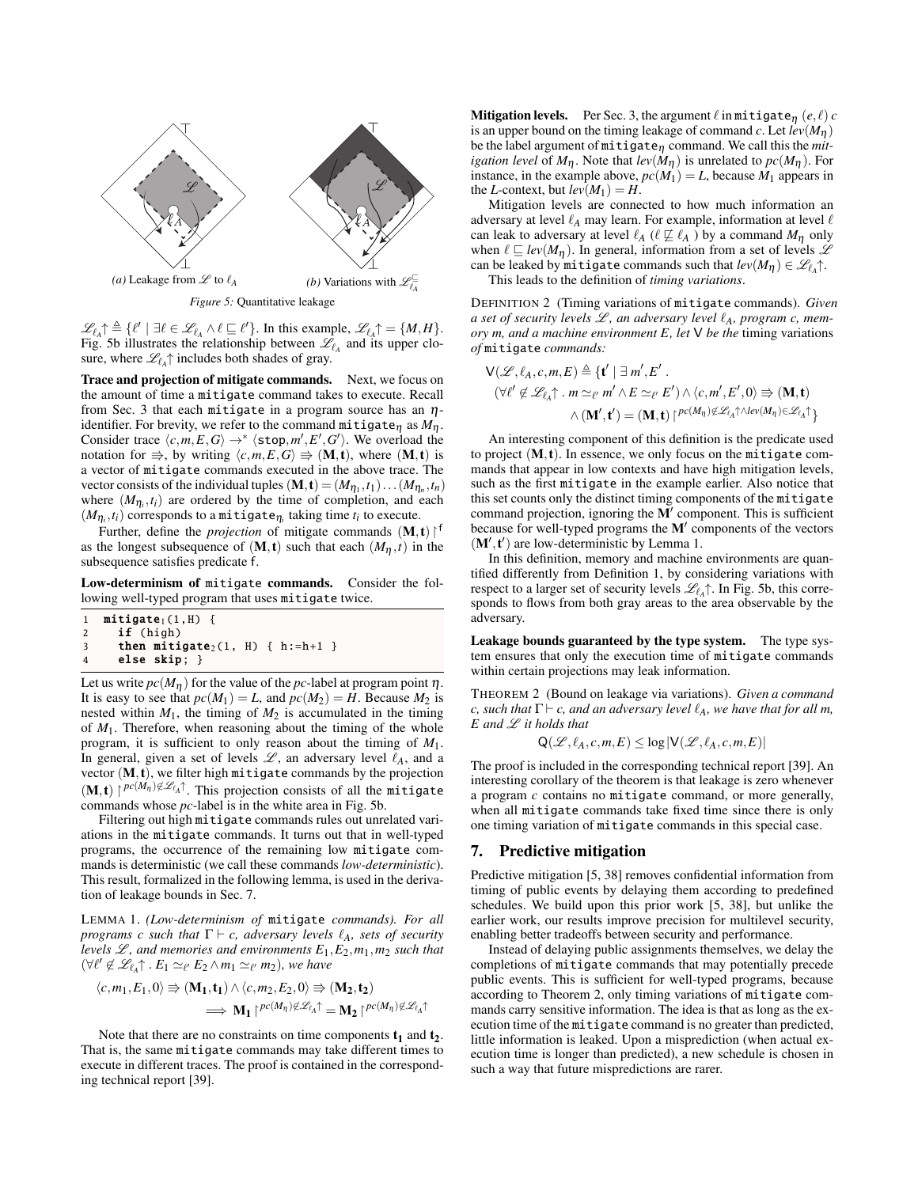<span id="page-7-1"></span>

<span id="page-7-2"></span>*Figure 5:* Quantitative leakage

 $\mathscr{L}_{\ell_A}\uparrow \triangleq {\ell' \mid \exists \ell \in \mathscr{L}_{\ell_A} \land \ell \sqsubseteq \ell'}.$  In this example,  $\mathscr{L}_{\ell_A}\uparrow = {\{M,H\}}.$ Fig. [5b](#page-7-2) illustrates the relationship between  $\mathscr{L}_{\ell_A}$  and its upper closure, where  $\mathcal{L}_{\ell_A}\uparrow$  includes both shades of gray.

Trace and projection of mitigate commands. Next, we focus on the amount of time a mitigate command takes to execute. Recall from Sec. [3](#page-2-0) that each mitigate in a program source has an  $\eta$ identifier. For brevity, we refer to the command mitigate<sub>n</sub> as  $M_n$ . Consider trace  $\langle c,m,E,G \rangle \rightarrow^* \langle \text{stop},m',E',G' \rangle$ . We overload the notation for  $\Rightarrow$ , by writing  $\langle c, m, E, G \rangle \Rightarrow (\mathbf{M}, \mathbf{t})$ , where  $(\mathbf{M}, \mathbf{t})$  is a vector of mitigate commands executed in the above trace. The vector consists of the individual tuples  $(M, t) = (M_{\eta_1}, t_1) \dots (M_{\eta_n}, t_n)$ where  $(M_{\eta_i}, t_i)$  are ordered by the time of completion, and each  $(M_{\eta_i}, t_i)$  corresponds to a mitigate $_{\eta_i}$  taking time  $t_i$  to execute.

Further, define the *projection* of mitigate commands  $(M, t)$ <sup>f</sup> as the longest subsequence of  $(M, t)$  such that each  $(M_n, t)$  in the subsequence satisfies predicate f.

Low-determinism of mitigate commands. Consider the following well-typed program that uses mitigate twice.

```
1 mitigate<sub>1</sub>(1,H) {<br>2 if (high)
      if (high)
3 then mitigate_2(1, H) { h:=h+1 }4 else skip; }
```
Let us write  $pc(M_n)$  for the value of the *pc*-label at program point  $\eta$ . It is easy to see that  $pc(M_1) = L$ , and  $pc(M_2) = H$ . Because  $M_2$  is nested within  $M_1$ , the timing of  $M_2$  is accumulated in the timing of *M*1. Therefore, when reasoning about the timing of the whole program, it is sufficient to only reason about the timing of *M*1. In general, given a set of levels  $\mathscr{L}$ , an adversary level  $\ell_A$ , and a vector (M,t), we filter high mitigate commands by the projection  $(M, t) \mid^{pc(M_{\eta}) \notin \mathscr{L}_{\ell_A} \uparrow}$ . This projection consists of all the mitigate commands whose *pc*-label is in the white area in Fig. [5b.](#page-7-2)

Filtering out high mitigate commands rules out unrelated variations in the mitigate commands. It turns out that in well-typed programs, the occurrence of the remaining low mitigate commands is deterministic (we call these commands *low-deterministic*). This result, formalized in the following lemma, is used in the derivation of leakage bounds in Sec. [7.](#page-7-0)

<span id="page-7-3"></span>LEMMA 1. *(Low-determinism of* mitigate *commands). For all programs c such that*  $\Gamma \vdash c$ *, adversary levels*  $\ell_A$ *, sets of security levels*  $\mathcal{L}$ *, and memories and environments*  $E_1$ *,* $E_2$ *,m*<sub>1</sub>*,m*<sub>2</sub> *such that*  $(\forall \ell' \notin \mathscr{L}_{\ell_A} \uparrow$   $\ldots$  *E*<sub>1</sub>  $\simeq_{\ell'} E_2 \wedge m_1 \simeq_{\ell'} m_2$ *), we have* 

$$
\langle c, m_1, E_1, 0 \rangle \Rightarrow (\mathbf{M}_1, \mathbf{t}_1) \land \langle c, m_2, E_2, 0 \rangle \Rightarrow (\mathbf{M}_2, \mathbf{t}_2)
$$
  

$$
\implies \mathbf{M}_1 \upharpoonright^{pc(M_\eta) \notin \mathcal{L}_{\ell_\Lambda} \uparrow} = \mathbf{M}_2 \upharpoonright^{pc(M_\eta) \notin \mathcal{L}_{\ell_\Lambda} \uparrow}
$$

Note that there are no constraints on time components  $t_1$  and  $t_2$ . That is, the same mitigate commands may take different times to execute in different traces. The proof is contained in the corresponding technical report [\[39\]](#page-10-25).

**Mitigation levels.** Per Sec. [3,](#page-2-0) the argument  $\ell$  in mitigate<sub>n</sub> (*e*,  $\ell$ ) *c* is an upper bound on the timing leakage of command *c*. Let  $lev(M_n)$ be the label argument of mitigate<sup>η</sup> command. We call this the *mitigation level* of  $M_{\eta}$ . Note that  $lev(M_{\eta})$  is unrelated to  $pc(M_{\eta})$ . For instance, in the example above,  $pc(M_1) = L$ , because  $M_1$  appears in the *L*-context, but  $lev(M_1) = H$ .

Mitigation levels are connected to how much information an adversary at level  $\ell_A$  may learn. For example, information at level  $\ell$ can leak to adversary at level  $\ell_A$  ( $\ell \not\sqsubseteq \ell_A$ ) by a command  $M_\eta$  only when  $\ell \sqsubseteq lev(M_{\eta})$ . In general, information from a set of levels  $\mathscr L$ can be leaked by  $\mathtt{mitigate}$  commands such that  $lev(M_\eta) \in \mathscr{L}_{\ell_A}\!\!\uparrow$ .

This leads to the definition of *timing variations*.

DEFINITION 2 (Timing variations of mitigate commands). *Given a set of security levels*  $\mathcal{L}$ *, an adversary level*  $\ell_A$ *, program c, memory m, and a machine environment E, let* V *be the* timing variations *of* mitigate *commands:*

$$
\mathsf{V}(\mathscr{L}, \ell_A, c, m, E) \triangleq {\mathbf{t'} | \exists m', E' .}
$$
  
\n
$$
(\forall \ell' \notin \mathscr{L}_{\ell_A} \uparrow \cdot m \simeq_{\ell'} m' \land E \simeq_{\ell'} E') \land \langle c, m', E', 0 \rangle \Rightarrow (\mathbf{M}, \mathbf{t})
$$
  
\n
$$
\land (\mathbf{M'}, \mathbf{t'}) = (\mathbf{M}, \mathbf{t}) \upharpoonright^{pc(M_\eta) \notin \mathscr{L}_{\ell_A} \upharpoonright \land \{ \text{dev}(M_\eta) \in \mathscr{L}_{\ell_A} \upharpoonright}
$$

An interesting component of this definition is the predicate used to project  $(M, t)$ . In essence, we only focus on the mitigate commands that appear in low contexts and have high mitigation levels, such as the first mitigate in the example earlier. Also notice that this set counts only the distinct timing components of the mitigate command projection, ignoring the  $\overline{M}$  component. This is sufficient because for well-typed programs the  $M'$  components of the vectors  $(M', t')$  are low-deterministic by Lemma [1.](#page-7-3)

In this definition, memory and machine environments are quantified differently from Definition [1,](#page-6-2) by considering variations with respect to a larger set of security levels  $\mathcal{L}_{\ell_A}\uparrow$ . In Fig. [5b,](#page-7-2) this corresponds to flows from both gray areas to the area observable by the adversary.

Leakage bounds guaranteed by the type system. The type system ensures that only the execution time of mitigate commands within certain projections may leak information.

THEOREM 2 (Bound on leakage via variations). *Given a command c*, such that  $\Gamma \vdash c$ , and an adversary level  $\ell_A$ , we have that for all m, *E and* L *it holds that*

<span id="page-7-4"></span>
$$
Q(\mathscr{L}, \ell_A, c, m, E) \leq \log |\mathsf{V}(\mathscr{L}, \ell_A, c, m, E)|
$$

The proof is included in the corresponding technical report [\[39\]](#page-10-25). An interesting corollary of the theorem is that leakage is zero whenever a program *c* contains no mitigate command, or more generally, when all mitigate commands take fixed time since there is only one timing variation of mitigate commands in this special case.

## <span id="page-7-0"></span>7. Predictive mitigation

Predictive mitigation [\[5,](#page-10-13) [38\]](#page-10-15) removes confidential information from timing of public events by delaying them according to predefined schedules. We build upon this prior work [\[5,](#page-10-13) [38\]](#page-10-15), but unlike the earlier work, our results improve precision for multilevel security, enabling better tradeoffs between security and performance.

Instead of delaying public assignments themselves, we delay the completions of mitigate commands that may potentially precede public events. This is sufficient for well-typed programs, because according to Theorem [2,](#page-7-4) only timing variations of mitigate commands carry sensitive information. The idea is that as long as the execution time of the mitigate command is no greater than predicted, little information is leaked. Upon a misprediction (when actual execution time is longer than predicted), a new schedule is chosen in such a way that future mispredictions are rarer.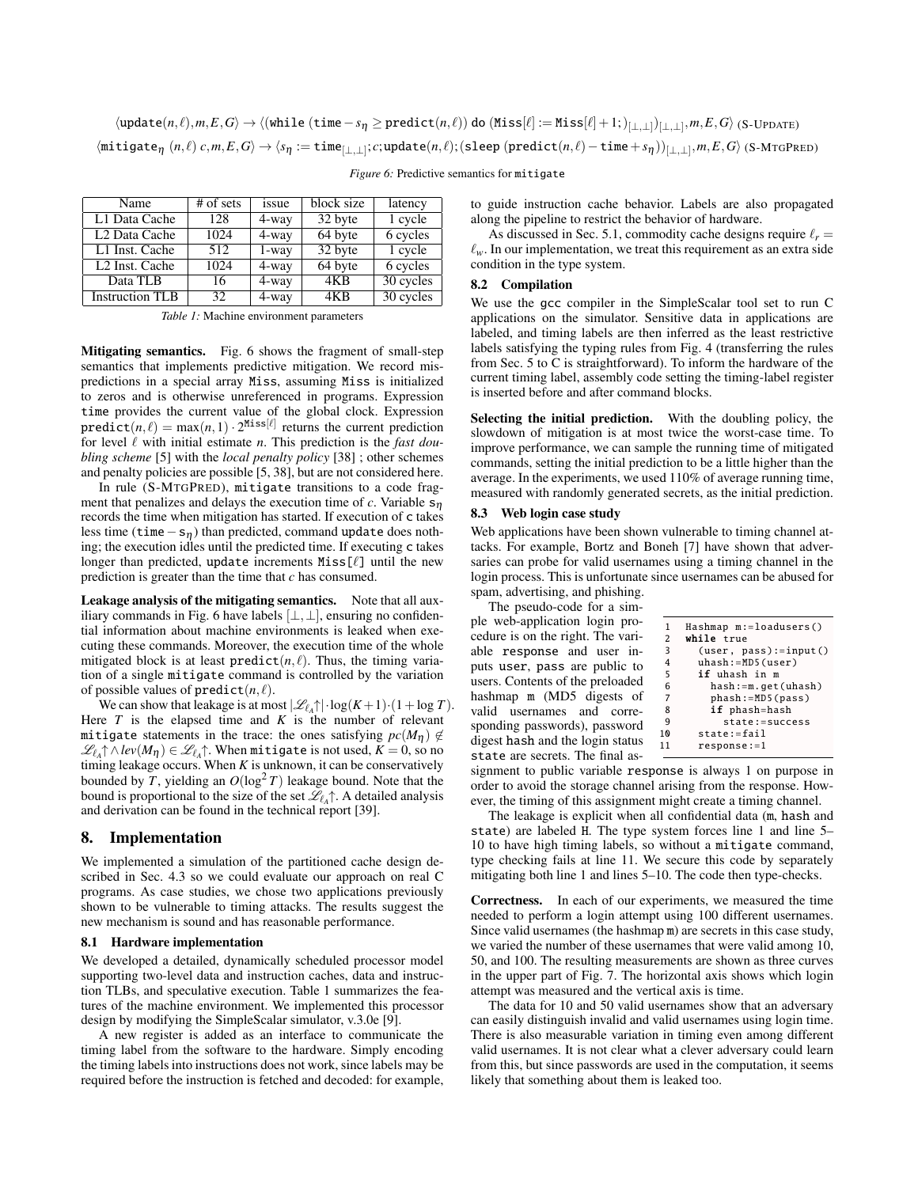<span id="page-8-1"></span> $\setminus \texttt{(update}(n, \ell), m, E, G \rangle \rightarrow \setminus (\texttt{while (time}-s_{\eta} \geq \texttt{predict}(n, \ell)) \text{ do } (\texttt{Miss}[\ell] := \texttt{Miss}[\ell] +1; )_{[\bot, \bot]})_{[\bot, \bot]}, m, E, G \rangle \text{ (S-UPDATE)}$  $\langle \texttt{mitigate}_{\eta} \; (n, \ell) \; c, m, E, G \rangle \to \langle s_{\eta} := \texttt{time}_{[\bot, \bot]}; c; \texttt{update}(n, \ell); (\texttt{sleep} \; (\texttt{predict}(n, \ell) - \texttt{time} + s_{\eta}))_{[\bot, \bot]}, m, E, G \rangle \; (\texttt{S-MTGPRED})$ 

<span id="page-8-2"></span>

| Name                       | $#$ of sets | issue    | block size | latency   |
|----------------------------|-------------|----------|------------|-----------|
| L1 Data Cache              | 128         | 4-way    | 32 byte    | 1 cycle   |
| L <sub>2</sub> Data Cache  | 1024        | $4$ -way | 64 byte    | 6 cycles  |
| L1 Inst. Cache             | 512         | $1$ -way | 32 byte    | 1 cycle   |
| L <sub>2</sub> Inst. Cache | 1024        | $4$ -way | 64 byte    | 6 cycles  |
| Data TLB                   | 16          | $4$ -way | 4KB        | 30 cycles |
| <b>Instruction TLB</b>     | 32          | 4-way    | 4KB        | 30 cycles |

*Figure 6:* Predictive semantics for mitigate

*Table 1:* Machine environment parameters

Mitigating semantics. Fig. [6](#page-8-1) shows the fragment of small-step semantics that implements predictive mitigation. We record mispredictions in a special array Miss, assuming Miss is initialized to zeros and is otherwise unreferenced in programs. Expression time provides the current value of the global clock. Expression  $\text{predict}(n, \ell) = \max(n, 1) \cdot 2^{\text{Miss}[\ell]}$  returns the current prediction for level  $\ell$  with initial estimate *n*. This prediction is the *fast doubling scheme* [\[5\]](#page-10-13) with the *local penalty policy* [\[38\]](#page-10-15) ; other schemes and penalty policies are possible [\[5,](#page-10-13) [38\]](#page-10-15), but are not considered here.

In rule (S-MTGPRED), mitigate transitions to a code fragment that penalizes and delays the execution time of  $c$ . Variable  $s_n$ records the time when mitigation has started. If execution of c takes less time (time  $-s_{\eta}$ ) than predicted, command update does nothing; the execution idles until the predicted time. If executing c takes longer than predicted, update increments  $Miss[\ell]$  until the new prediction is greater than the time that *c* has consumed.

Leakage analysis of the mitigating semantics. Note that all aux-iliary commands in Fig. [6](#page-8-1) have labels  $[\perp, \perp]$ , ensuring no confidential information about machine environments is leaked when executing these commands. Moreover, the execution time of the whole mitigated block is at least  $predict(n, \ell)$ . Thus, the timing variation of a single mitigate command is controlled by the variation of possible values of  $predict(n, \ell)$ .

We can show that leakage is at most  $|\mathcal{L}_{\ell_A} \cap \cdot \log(K+1) \cdot (1 + \log T)$ . Here  $T$  is the elapsed time and  $K$  is the number of relevant mitigate statements in the trace: the ones satisfying  $pc(M_{\eta}) \notin$  $\mathscr{L}_{\ell_A}\!\!\uparrow\wedge\mathit{lev}(M_\eta) \in \mathscr{L}_{\ell_A}\!\!\uparrow$ . When  $\mathsf{mitigate}$  is not used,  $K \!=\! 0,$  so no timing leakage occurs. When *K* is unknown, it can be conservatively bounded by *T*, yielding an  $O(\log^2 T)$  leakage bound. Note that the bound is proportional to the size of the set  $\mathcal{L}_{\ell_A}\uparrow$ . A detailed analysis and derivation can be found in the technical report [\[39\]](#page-10-25).

# <span id="page-8-0"></span>8. Implementation

We implemented a simulation of the partitioned cache design described in Sec. [4.3](#page-5-2) so we could evaluate our approach on real C programs. As case studies, we chose two applications previously shown to be vulnerable to timing attacks. The results suggest the new mechanism is sound and has reasonable performance.

#### 8.1 Hardware implementation

We developed a detailed, dynamically scheduled processor model supporting two-level data and instruction caches, data and instruction TLBs, and speculative execution. Table [1](#page-8-2) summarizes the features of the machine environment. We implemented this processor design by modifying the SimpleScalar simulator, v.3.0e [\[9\]](#page-10-28).

A new register is added as an interface to communicate the timing label from the software to the hardware. Simply encoding the timing labels into instructions does not work, since labels may be required before the instruction is fetched and decoded: for example,

to guide instruction cache behavior. Labels are also propagated along the pipeline to restrict the behavior of hardware.

As discussed in Sec. [5.1,](#page-5-3) commodity cache designs require  $\ell_r$  =  $\ell_w$ . In our implementation, we treat this requirement as an extra side condition in the type system.

## 8.2 Compilation

We use the gcc compiler in the SimpleScalar tool set to run C applications on the simulator. Sensitive data in applications are labeled, and timing labels are then inferred as the least restrictive labels satisfying the typing rules from Fig. [4](#page-6-1) (transferring the rules from Sec. [5](#page-5-0) to C is straightforward). To inform the hardware of the current timing label, assembly code setting the timing-label register is inserted before and after command blocks.

Selecting the initial prediction. With the doubling policy, the slowdown of mitigation is at most twice the worst-case time. To improve performance, we can sample the running time of mitigated commands, setting the initial prediction to be a little higher than the average. In the experiments, we used 110% of average running time, measured with randomly generated secrets, as the initial prediction.

# 8.3 Web login case study

Web applications have been shown vulnerable to timing channel attacks. For example, Bortz and Boneh [\[7\]](#page-10-29) have shown that adversaries can probe for valid usernames using a timing channel in the login process. This is unfortunate since usernames can be abused for spam, advertising, and phishing.

The pseudo-code for a simple web-application login procedure is on the right. The variable response and user inputs user, pass are public to users. Contents of the preloaded hashmap m (MD5 digests of valid usernames and corresponding passwords), password digest hash and the login status state are secrets. The final as-

| 1              | Hashmap m:=loadusers()    |
|----------------|---------------------------|
| 2              | <b>while</b> true         |
| 3              | $(user, pass): = input()$ |
| 4              | uhash:=MD5(user)          |
| 5              | if uhash in m             |
| 6              | hash:=m.get(uhash)        |
| $\overline{7}$ | phash:=MD5(pass)          |
| 8              | if phash=hash             |
| q              | $state := success$        |
| 10             | state:=fail               |
| 11             | $response := 1$           |
|                |                           |

signment to public variable response is always 1 on purpose in order to avoid the storage channel arising from the response. However, the timing of this assignment might create a timing channel.

The leakage is explicit when all confidential data (m, hash and state) are labeled H. The type system forces line 1 and line 5– 10 to have high timing labels, so without a mitigate command, type checking fails at line 11. We secure this code by separately mitigating both line 1 and lines 5–10. The code then type-checks.

Correctness. In each of our experiments, we measured the time needed to perform a login attempt using 100 different usernames. Since valid usernames (the hashmap m) are secrets in this case study, we varied the number of these usernames that were valid among 10, 50, and 100. The resulting measurements are shown as three curves in the upper part of Fig. [7.](#page-9-1) The horizontal axis shows which login attempt was measured and the vertical axis is time.

The data for 10 and 50 valid usernames show that an adversary can easily distinguish invalid and valid usernames using login time. There is also measurable variation in timing even among different valid usernames. It is not clear what a clever adversary could learn from this, but since passwords are used in the computation, it seems likely that something about them is leaked too.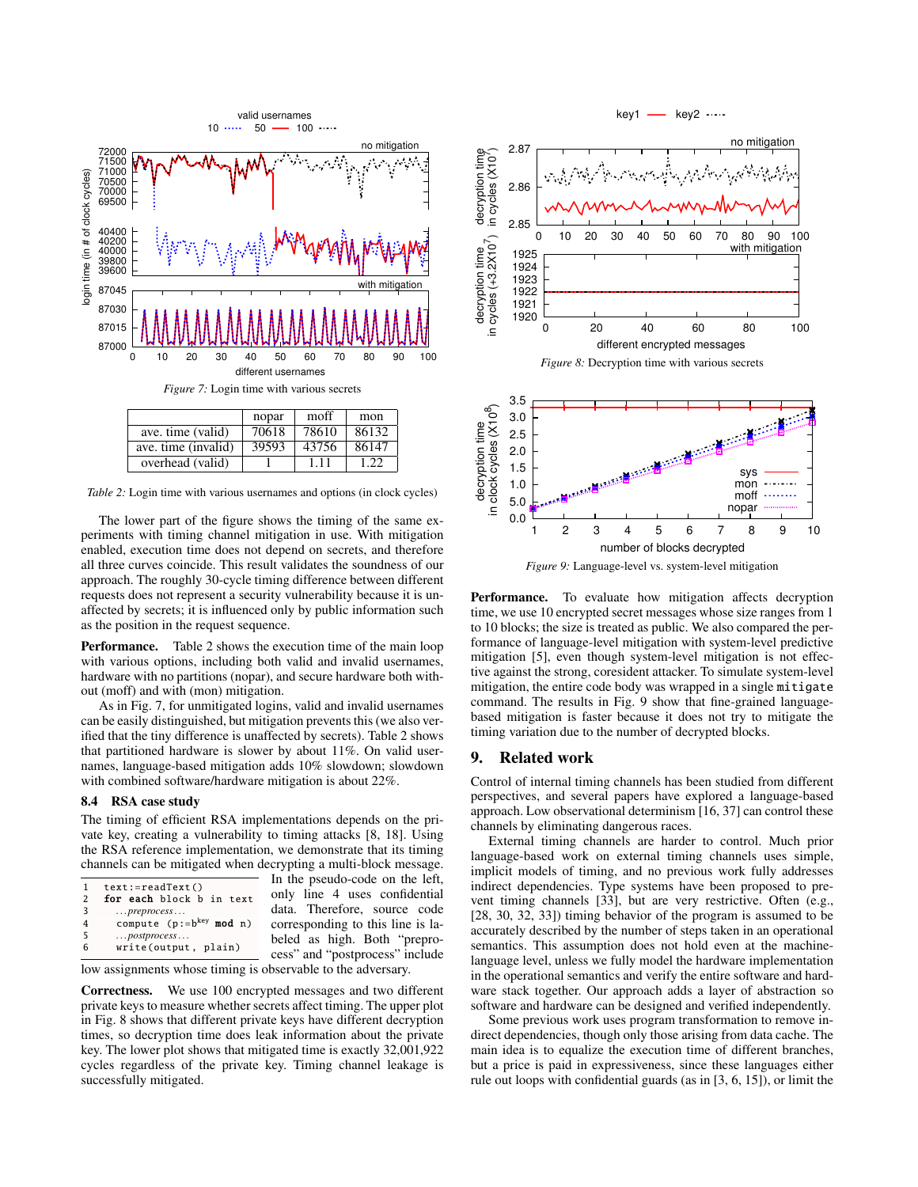<span id="page-9-1"></span>

<span id="page-9-2"></span>

| ave. time (invalid)   39593   43756   86147 |  |  |
|---------------------------------------------|--|--|
| overhead (valid)                            |  |  |

*Table 2:* Login time with various usernames and options (in clock cycles)

The lower part of the figure shows the timing of the same experiments with timing channel mitigation in use. With mitigation enabled, execution time does not depend on secrets, and therefore all three curves coincide. This result validates the soundness of our approach. The roughly 30-cycle timing difference between different requests does not represent a security vulnerability because it is unaffected by secrets; it is influenced only by public information such as the position in the request sequence.

Performance. Table [2](#page-9-2) shows the execution time of the main loop with various options, including both valid and invalid usernames, hardware with no partitions (nopar), and secure hardware both without (moff) and with (mon) mitigation.

As in Fig. [7,](#page-9-1) for unmitigated logins, valid and invalid usernames can be easily distinguished, but mitigation prevents this (we also verified that the tiny difference is unaffected by secrets). Table [2](#page-9-2) shows that partitioned hardware is slower by about 11%. On valid usernames, language-based mitigation adds 10% slowdown; slowdown with combined software/hardware mitigation is about 22%.

#### 8.4 RSA case study

The timing of efficient RSA implementations depends on the private key, creating a vulnerability to timing attacks [\[8,](#page-10-0) [18\]](#page-10-3). Using the RSA reference implementation, we demonstrate that its timing channels can be mitigated when decrypting a multi-block message.

| 1 | $text:=readText()$            |          |
|---|-------------------------------|----------|
| 2 | for each block b in text      | $\Omega$ |
| 3 | $\ldots$ preprocess $\ldots$  | d        |
|   | compute $(p:=b^{key} \mod n)$ | c        |
| 5 | $\ldots$ postprocess $\ldots$ | b        |
| 6 | write(output, plain)          |          |
|   |                               | Õ.       |

In the pseudo-code on the left, only line 4 uses confidential data. Therefore, source code corresponding to this line is labeled as high. Both "preprocess" and "postprocess" include

low assignments whose timing is observable to the adversary.

Correctness. We use 100 encrypted messages and two different private keys to measure whether secrets affect timing. The upper plot in Fig. [8](#page-9-3) shows that different private keys have different decryption times, so decryption time does leak information about the private key. The lower plot shows that mitigated time is exactly 32,001,922 cycles regardless of the private key. Timing channel leakage is successfully mitigated.

<span id="page-9-3"></span>

<span id="page-9-4"></span>*Figure 9:* Language-level vs. system-level mitigation

Performance. To evaluate how mitigation affects decryption time, we use 10 encrypted secret messages whose size ranges from 1 to 10 blocks; the size is treated as public. We also compared the performance of language-level mitigation with system-level predictive mitigation [\[5\]](#page-10-13), even though system-level mitigation is not effective against the strong, coresident attacker. To simulate system-level mitigation, the entire code body was wrapped in a single mitigate command. The results in Fig. [9](#page-9-4) show that fine-grained languagebased mitigation is faster because it does not try to mitigate the timing variation due to the number of decrypted blocks.

## <span id="page-9-0"></span>9. Related work

Control of internal timing channels has been studied from different perspectives, and several papers have explored a language-based approach. Low observational determinism [\[16,](#page-10-9) [37\]](#page-10-10) can control these channels by eliminating dangerous races.

External timing channels are harder to control. Much prior language-based work on external timing channels uses simple, implicit models of timing, and no previous work fully addresses indirect dependencies. Type systems have been proposed to prevent timing channels [\[33\]](#page-10-30), but are very restrictive. Often (e.g., [\[28,](#page-10-8) [30,](#page-10-31) [32,](#page-10-32) [33\]](#page-10-30)) timing behavior of the program is assumed to be accurately described by the number of steps taken in an operational semantics. This assumption does not hold even at the machinelanguage level, unless we fully model the hardware implementation in the operational semantics and verify the entire software and hardware stack together. Our approach adds a layer of abstraction so software and hardware can be designed and verified independently.

Some previous work uses program transformation to remove indirect dependencies, though only those arising from data cache. The main idea is to equalize the execution time of different branches, but a price is paid in expressiveness, since these languages either rule out loops with confidential guards (as in [\[3,](#page-10-12) [6,](#page-10-33) [15\]](#page-10-34)), or limit the